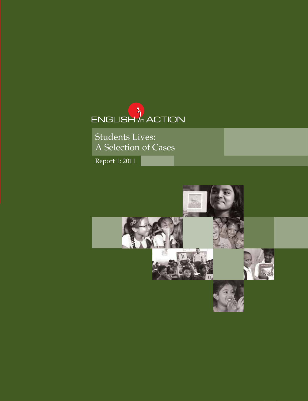

Students Lives: A Selection of Cases

Report 1: 2011

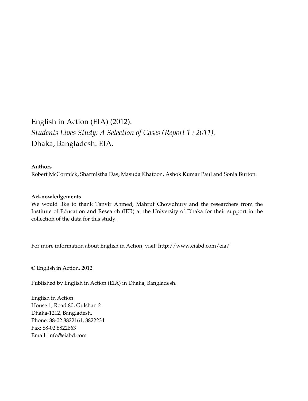# English in Action (EIA) (2012). *Students Lives Study: A Selection of Cases (Report 1 : 2011).* Dhaka, Bangladesh: EIA.

#### **Authors**

Robert McCormick, Sharmistha Das, Masuda Khatoon, Ashok Kumar Paul and Sonia Burton.

#### **Acknowledgements**

We would like to thank Tanvir Ahmed, Mahruf Chowdhury and the researchers from the Institute of Education and Research (IER) at the University of Dhaka for their support in the collection of the data for this study.

For more information about English in Action, visit: http://www.eiabd.com/eia/

© English in Action, 2012

Published by English in Action (EIA) in Dhaka, Bangladesh.

English in Action House 1, Road 80, Gulshan 2 Dhaka-1212, Bangladesh. Phone: 88-02 8822161, 8822234 Fax: 88-02 8822663 Email: info@eiabd.com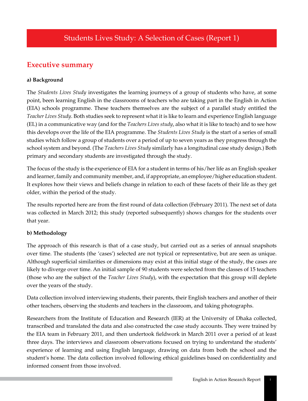## **Executive summary**

## **a) Background**

The *Students Lives Study* investigates the learning journeys of a group of students who have, at some point, been learning English in the classrooms of teachers who are taking part in the English in Action (EIA) schools programme. These teachers themselves are the subject of a parallel study entitled the *Teacher Lives Study*. Both studies seek to represent what it is like to learn and experience English language (EL) in a communicative way (and for the *Teachers Lives study*, also what it is like to teach) and to see how this develops over the life of the EIA programme. The *Students Lives Study* is the start of a series of small studies which follow a group of students over a period of up to seven years as they progress through the school system and beyond. (The *Teachers Lives Study* similarly has a longitudinal case study design.) Both primary and secondary students are investigated through the study.

The focus of the study is the experience of EIA for a student in terms of his/her life as an English speaker and learner, family and community member, and, if appropriate, an employee/higher education student. It explores how their views and beliefs change in relation to each of these facets of their life as they get older, within the period of the study.

The results reported here are from the first round of data collection (February 2011). The next set of data was collected in March 2012; this study (reported subsequently) shows changes for the students over that year.

## **b) Methodology**

The approach of this research is that of a case study, but carried out as a series of annual snapshots over time. The students (the 'cases') selected are not typical or representative, but are seen as unique. Although superficial similarities or dimensions may exist at this initial stage of the study, the cases are likely to diverge over time. An initial sample of 90 students were selected from the classes of 15 teachers (those who are the subject of the *Teacher Lives Study*), with the expectation that this group will deplete over the years of the study.

Data collection involved interviewing students, their parents, their English teachers and another of their other teachers, observing the students and teachers in the classroom, and taking photographs.

Researchers from the Institute of Education and Research (IER) at the University of Dhaka collected, transcribed and translated the data and also constructed the case study accounts. They were trained by the EIA team in February 2011, and then undertook fieldwork in March 2011 over a period of at least three days. The interviews and classroom observations focused on trying to understand the students' experience of learning and using English language, drawing on data from both the school and the student's home. The data collection involved following ethical guidelines based on confidentiality and informed consent from those involved.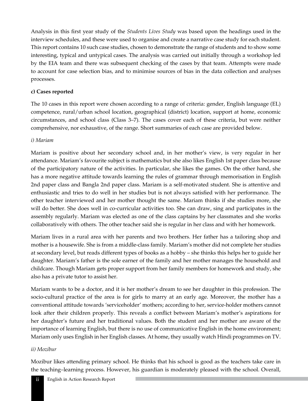Analysis in this first year study of the *Students Lives Study* was based upon the headings used in the interview schedules, and these were used to organise and create a narrative case study for each student. This report contains 10 such case studies, chosen to demonstrate the range of students and to show some interesting, typical and untypical cases. The analysis was carried out initially through a workshop led by the EIA team and there was subsequent checking of the cases by that team. Attempts were made to account for case selection bias, and to minimise sources of bias in the data collection and analyses processes.

#### **c) Cases reported**

The 10 cases in this report were chosen according to a range of criteria: gender, English language (EL) competence, rural/urban school location, geographical (district) location, support at home, economic circumstances, and school class (Class 3–7). The cases cover each of these criteria, but were neither comprehensive, nor exhaustive, of the range. Short summaries of each case are provided below.

#### *i) Mariam*

Mariam is positive about her secondary school and, in her mother's view, is very regular in her attendance. Mariam's favourite subject is mathematics but she also likes English 1st paper class because of the participatory nature of the activities. In particular, she likes the games. On the other hand, she has a more negative attitude towards learning the rules of grammar through memorisation in English 2nd paper class and Bangla 2nd paper class. Mariam is a self-motivated student. She is attentive and enthusiastic and tries to do well in her studies but is not always satisfied with her performance. The other teacher interviewed and her mother thought the same. Mariam thinks if she studies more, she will do better. She does well in co-curricular activities too. She can draw, sing and participates in the assembly regularly. Mariam was elected as one of the class captains by her classmates and she works collaboratively with others. The other teacher said she is regular in her class and with her homework.

Mariam lives in a rural area with her parents and two brothers. Her father has a tailoring shop and mother is a housewife. She is from a middle-class family. Mariam's mother did not complete her studies at secondary level, but reads different types of books as a hobby – she thinks this helps her to guide her daughter. Mariam's father is the sole earner of the family and her mother manages the household and childcare. Though Mariam gets proper support from her family members for homework and study, she also has a private tutor to assist her.

Mariam wants to be a doctor, and it is her mother's dream to see her daughter in this profession. The socio-cultural practice of the area is for girls to marry at an early age. Moreover, the mother has a conventional attitude towards 'serviceholder' mothers; according to her, service-holder mothers cannot look after their children properly. This reveals a conflict between Mariam's mother's aspirations for her daughter's future and her traditional values. Both the student and her mother are aware of the importance of learning English, but there is no use of communicative English in the home environment; Mariam only uses English in her English classes. At home, they usually watch Hindi programmes on TV.

#### *ii) Mozibur*

Mozibur likes attending primary school. He thinks that his school is good as the teachers take care in the teaching–learning process. However, his guardian is moderately pleased with the school. Overall,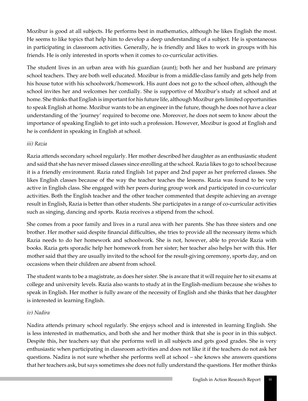Mozibur is good at all subjects. He performs best in mathematics, although he likes English the most. He seems to like topics that help him to develop a deep understanding of a subject. He is spontaneous in participating in classroom activities. Generally, he is friendly and likes to work in groups with his friends. He is only interested in sports when it comes to co-curricular activities.

The student lives in an urban area with his guardian (aunt); both her and her husband are primary school teachers. They are both well educated. Mozibur is from a middle-class family and gets help from his house tutor with his schoolwork/homework. His aunt does not go to the school often, although the school invites her and welcomes her cordially. She is supportive of Mozibur's study at school and at home. She thinks that English is important for his future life, although Mozibur gets limited opportunities to speak English at home. Mozibur wants to be an engineer in the future, though he does not have a clear understanding of the 'journey' required to become one. Moreover, he does not seem to know about the importance of speaking English to get into such a profession. However, Mozibur is good at English and he is confident in speaking in English at school.

#### *iii) Razia*

Razia attends secondary school regularly. Her mother described her daughter as an enthusiastic student and said that she has never missed classes since enrolling at the school. Razia likes to go to school because it is a friendly environment. Razia rated English 1st paper and 2nd paper as her preferred classes. She likes English classes because of the way the teacher teaches the lessons. Razia was found to be very active in English class. She engaged with her peers during group work and participated in co-curricular activities. Both the English teacher and the other teacher commented that despite achieving an average result in English, Razia is better than other students. She participates in a range of co-curricular activities such as singing, dancing and sports. Razia receives a stipend from the school.

She comes from a poor family and lives in a rural area with her parents. She has three sisters and one brother. Her mother said despite financial difficulties, she tries to provide all the necessary items which Razia needs to do her homework and schoolwork. She is not, however, able to provide Razia with books. Razia gets sporadic help her homework from her sister; her teacher also helps her with this. Her mother said that they are usually invited to the school for the result-giving ceremony, sports day, and on occasions when their children are absent from school.

The student wants to be a magistrate, as does her sister. She is aware that it will require her to sit exams at college and university levels. Razia also wants to study at in the English-medium because she wishes to speak in English. Her mother is fully aware of the necessity of English and she thinks that her daughter is interested in learning English.

#### *iv) Nadira*

Nadira attends primary school regularly. She enjoys school and is interested in learning English. She is less interested in mathematics, and both she and her mother think that she is poor in in this subject. Despite this, her teachers say that she performs well in all subjects and gets good grades. She is very enthusiastic when participating in classroom activities and does not like it if the teachers do not ask her questions. Nadira is not sure whether she performs well at school – she knows she answers questions that her teachers ask, but says sometimes she does not fully understand the questions. Her mother thinks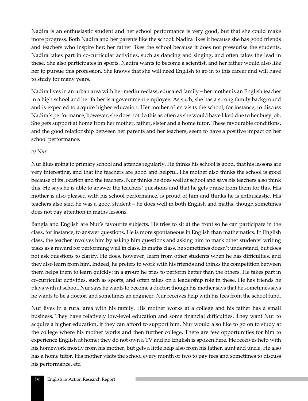Nadira is an enthusiastic student and her school performance is very good, but that she could make more progress. Both Nadira and her parents like the school: Nadira likes it because she has good friends and teachers who inspire her; her father likes the school because it does not pressurise the students. Nadira takes part in co-curricular activities, such as dancing and singing, and often takes the lead in these. She also participates in sports. Nadira wants to become a scientist, and her father would also like her to pursue this profession. She knows that she will need English to go in to this career and will have to study for many years.

Nadira lives in an urban area with her medium-class, educated family – her mother is an English teacher in a high school and her father is a government employee. As such, she has a strong family background and is expected to acquire higher education. Her mother often visits the school, for instance, to discuss Nadira's performance; however, she does not do this as often as she would have liked due to her busy job. She gets support at home from her mother, father, sister and a home tutor. These favourable conditions, and the good relationship between her parents and her teachers, seem to have a positive impact on her school performance.

#### *v) Nur*

Nur likes going to primary school and attends regularly. He thinks his school is good, that his lessons are very interesting, and that the teachers are good and helpful. His mother also thinks the school is good because of its location and the teachers. Nur thinks he does well at school and says his teachers also think this. He says he is able to answer the teachers' questions and that he gets praise from them for this. His mother is also pleased with his school performance, is proud of him and thinks he is enthusiastic. His teachers also said he was a good student – he does well in both English and maths, though sometimes does not pay attention in maths lessons.

Bangla and English are Nur's favourite subjects. He tries to sit at the front so he can participate in the class, for instance, to answer questions. He is more spontaneous in English than mathematics. In English class, the teacher involves him by asking him questions and asking him to mark other students' writing tasks as a reward for performing well in class. In maths class, he sometimes doesn't understand, but does not ask questions to clarify. He does, however, learn from other students when he has difficulties, and they also learn from him. Indeed, he prefers to work with his friends and thinks the competition between them helps them to learn quickly: in a group he tries to perform better than the others. He takes part in co-curricular activities, such as sports, and often takes on a leadership role in these. He has friends he plays with at school. Nur says he wants to become a doctor; though his mother says that he sometimes says he wants to be a doctor, and sometimes an engineer. Nur receives help with his fees from the school fund.

Nur lives in a rural area with his family. His mother works at a college and his father has a small business. They have relatively low-level education and some financial difficulties. They want Nur to acquire a higher education, if they can afford to support him. Nur would also like to go on to study at the college where his mother works and then further college. There are few opportunities for him to experience English at home: they do not own a TV and no English is spoken here. He receives help with his homework mostly from his mother, but gets a little help also from his father, aunt and uncle. He also has a home tutor. His mother visits the school every month or two to pay fees and sometimes to discuss his performance, etc.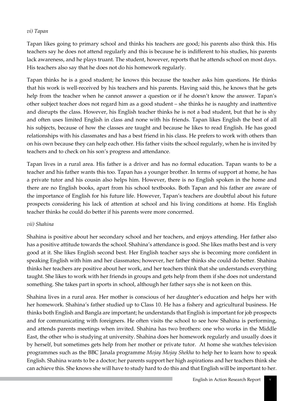#### *vi) Tapan*

Tapan likes going to primary school and thinks his teachers are good; his parents also think this. His teachers say he does not attend regularly and this is because he is indifferent to his studies, his parents lack awareness, and he plays truant. The student, however, reports that he attends school on most days. His teachers also say that he does not do his homework regularly.

Tapan thinks he is a good student; he knows this because the teacher asks him questions. He thinks that his work is well-received by his teachers and his parents. Having said this, he knows that he gets help from the teacher when he cannot answer a question or if he doesn't know the answer. Tapan's other subject teacher does not regard him as a good student – she thinks he is naughty and inattentive and disrupts the class. However, his English teacher thinks he is not a bad student, but that he is shy and often uses limited English in class and none with his friends. Tapan likes English the best of all his subjects, because of how the classes are taught and because he likes to read English. He has good relationships with his classmates and has a best friend in his class. He prefers to work with others than on his own because they can help each other. His father visits the school regularly, when he is invited by teachers and to check on his son's progress and attendance.

Tapan lives in a rural area. His father is a driver and has no formal education. Tapan wants to be a teacher and his father wants this too. Tapan has a younger brother. In terms of support at home, he has a private tutor and his cousin also helps him. However, there is no English spoken in the home and there are no English books, apart from his school textbooks. Both Tapan and his father are aware of the importance of English for his future life. However, Tapan's teachers are doubtful about his future prospects considering his lack of attention at school and his living conditions at home. His English teacher thinks he could do better if his parents were more concerned.

#### *vii) Shahina*

Shahina is positive about her secondary school and her teachers, and enjoys attending. Her father also has a positive attitude towards the school. Shahina's attendance is good. She likes maths best and is very good at it. She likes English second best. Her English teacher says she is becoming more confident in speaking English with him and her classmates; however, her father thinks she could do better. Shahina thinks her teachers are positive about her work, and her teachers think that she understands everything taught. She likes to work with her friends in groups and gets help from them if she does not understand something. She takes part in sports in school, although her father says she is not keen on this.

Shahina lives in a rural area. Her mother is conscious of her daughter's education and helps her with her homework. Shahina's father studied up to Class 10. He has a fishery and agricultural business. He thinks both English and Bangla are important; he understands that English is important for job prospects and for communicating with foreigners. He often visits the school to see how Shahina is performing, and attends parents meetings when invited. Shahina has two brothers: one who works in the Middle East, the other who is studying at university. Shahina does her homework regularly and usually does it by herself, but sometimes gets help from her mother or private tutor. At home she watches television programmes such as the BBC Janala programme *Mojay Mojay Shekha* to help her to learn how to speak English. Shahina wants to be a doctor; her parents support her high aspirations and her teachers think she can achieve this. She knows she will have to study hard to do this and that English will be important to her.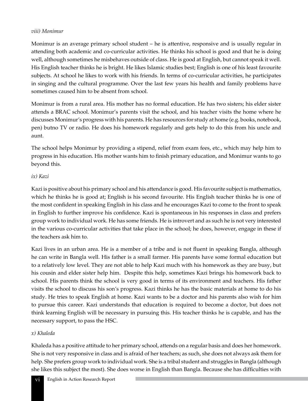#### *viii) Monimur*

Monimur is an average primary school student – he is attentive, responsive and is usually regular in attending both academic and co-curricular activities. He thinks his school is good and that he is doing well, although sometimes he misbehaves outside of class. He is good at English, but cannot speak it well. His English teacher thinks he is bright. He likes Islamic studies best; English is one of his least favourite subjects. At school he likes to work with his friends. In terms of co-curricular activities, he participates in singing and the cultural programme. Over the last few years his health and family problems have sometimes caused him to be absent from school.

Monimur is from a rural area. His mother has no formal education. He has two sisters; his elder sister attends a BRAC school. Monimur's parents visit the school, and his teacher visits the home where he discusses Monimur's progress with his parents. He has resources for study at home (e.g. books, notebook, pen) butno TV or radio. He does his homework regularly and gets help to do this from his uncle and aunt.

The school helps Monimur by providing a stipend, relief from exam fees, etc., which may help him to progress in his education. His mother wants him to finish primary education, and Monimur wants to go beyond this.

#### *ix) Kazi*

Kazi is positive about his primary school and his attendance is good. His favourite subject is mathematics, which he thinks he is good at; English is his second favourite. His English teacher thinks he is one of the most confident in speaking English in his class and he encourages Kazi to come to the front to speak in English to further improve his confidence. Kazi is spontaneous in his responses in class and prefers group work to individual work. He has some friends. He is introvert and as such he is not very interested in the various co-curricular activities that take place in the school; he does, however, engage in these if the teachers ask him to.

Kazi lives in an urban area. He is a member of a tribe and is not fluent in speaking Bangla, although he can write in Bangla well. His father is a small farmer. His parents have some formal education but to a relatively low level. They are not able to help Kazi much with his homework as they are busy, but his cousin and elder sister help him. Despite this help, sometimes Kazi brings his homework back to school. His parents think the school is very good in terms of its environment and teachers. His father visits the school to discuss his son's progress. Kazi thinks he has the basic materials at home to do his study. He tries to speak English at home. Kazi wants to be a doctor and his parents also wish for him to pursue this career. Kazi understands that education is required to become a doctor, but does not think learning English will be necessary in pursuing this. His teacher thinks he is capable, and has the necessary support, to pass the HSC.

#### *x) Khaleda*

Khaleda has a positive attitude to her primary school, attends on a regular basis and does her homework. She is not very responsive in class and is afraid of her teachers; as such, she does not always ask them for help. She prefers group work to individual work. She is a tribal student and struggles in Bangla (although she likes this subject the most). She does worse in English than Bangla. Because she has difficulties with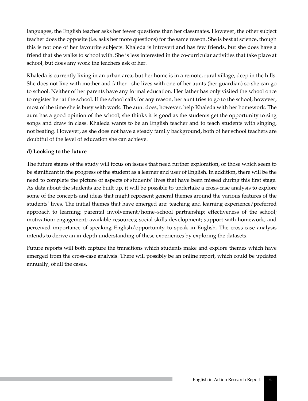languages, the English teacher asks her fewer questions than her classmates. However, the other subject teacher does the opposite (i.e. asks her more questions) for the same reason. She is best at science, though this is not one of her favourite subjects. Khaleda is introvert and has few friends, but she does have a friend that she walks to school with. She is less interested in the co-curricular activities that take place at school, but does any work the teachers ask of her.

Khaleda is currently living in an urban area, but her home is in a remote, rural village, deep in the hills. She does not live with mother and father - she lives with one of her aunts (her guardian) so she can go to school. Neither of her parents have any formal education. Her father has only visited the school once to register her at the school. If the school calls for any reason, her aunt tries to go to the school; however, most of the time she is busy with work. The aunt does, however, help Khaleda with her homework. The aunt has a good opinion of the school; she thinks it is good as the students get the opportunity to sing songs and draw in class. Khaleda wants to be an English teacher and to teach students with singing, not beating. However, as she does not have a steady family background, both of her school teachers are doubtful of the level of education she can achieve.

#### **d) Looking to the future**

The future stages of the study will focus on issues that need further exploration, or those which seem to be significant in the progress of the student as a learner and user of English. In addition, there will be the need to complete the picture of aspects of students' lives that have been missed during this first stage. As data about the students are built up, it will be possible to undertake a cross-case analysis to explore some of the concepts and ideas that might represent general themes around the various features of the students' lives. The initial themes that have emerged are: teaching and learning experience/preferred approach to learning; parental involvement/home–school partnership; effectiveness of the school; motivation; engagement; available resources; social skills development; support with homework; and perceived importance of speaking English/opportunity to speak in English. The cross-case analysis intends to derive an in-depth understanding of these experiences by exploring the datasets.

Future reports will both capture the transitions which students make and explore themes which have emerged from the cross-case analysis. There will possibly be an online report, which could be updated annually, of all the cases.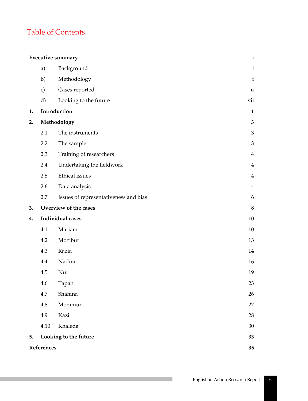# Table of Contents

|    |               | <b>Executive summary</b>              | $\mathbf{i}$   |
|----|---------------|---------------------------------------|----------------|
|    | a)            | Background                            | $\mathbf i$    |
|    | b)            | Methodology                           | $\rm i$        |
|    | $\mathbf{c})$ | Cases reported                        | $\rm ii$       |
|    | $\mathbf{d}$  | Looking to the future                 | vii            |
| 1. |               | Introduction                          | $\mathbf{1}$   |
| 2. |               | Methodology                           | $\mathbf{3}$   |
|    | 2.1           | The instruments                       | $\mathfrak 3$  |
|    | 2.2           | The sample                            | $\mathfrak{Z}$ |
|    | 2.3           | Training of researchers               | $\overline{4}$ |
|    | 2.4           | Undertaking the fieldwork             | $\overline{4}$ |
|    | 2.5           | Ethical issues                        | $\overline{4}$ |
|    | 2.6           | Data analysis                         | $\overline{4}$ |
|    | 2.7           | Issues of representativeness and bias | 6              |
|    |               |                                       |                |
| 3. |               | Overview of the cases                 | $\bf 8$        |
| 4. |               | Individual cases                      | 10             |
|    | 4.1           | Mariam                                | 10             |
|    | 4.2           | Mozibur                               | 13             |
|    | 4.3           | Razia                                 | 14             |
|    | 4.4           | Nadira                                | 16             |
|    | 4.5           | Nur                                   | 19             |
|    | 4.6           | Tapan                                 | 23             |
|    | 4.7           | Shahina                               | 26             |
|    | 4.8           | Monimur                               | 27             |
|    | 4.9           | Kazi                                  | 28             |
|    | 4.10          | Khaleda                               | 30             |
| 5. |               | Looking to the future                 | 33             |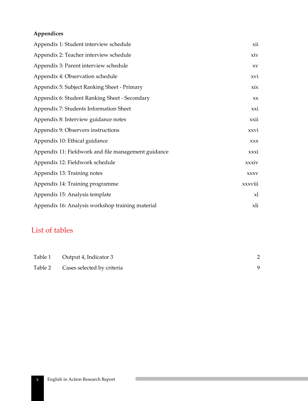## **Appendices**

| Appendix 1: Student interview schedule              | xii            |
|-----------------------------------------------------|----------------|
| Appendix 2: Teacher interview schedule              | xiv            |
| Appendix 3: Parent interview schedule               | XV             |
| Appendix 4: Observation schedule                    | xvi            |
| Appendix 5: Subject Ranking Sheet - Primary         | xix            |
| Appendix 6: Student Ranking Sheet - Secondary       | XX             |
| Appendix 7: Students Information Sheet              | xxi            |
| Appendix 8: Interview guidance notes                | xxii           |
| Appendix 9: Observers instructions                  | xxvi           |
| Appendix 10: Ethical guidance                       | <b>XXX</b>     |
| Appendix 11: Fieldwork and file management guidance | xxxi           |
| Appendix 12: Fieldwork schedule                     | xxxiv          |
| Appendix 13: Training notes                         | <b>XXXV</b>    |
| Appendix 14: Training programme                     | xxxviii        |
| Appendix 15: Analysis template                      | x <sub>l</sub> |
| Appendix 16: Analysis workshop training material    | xli            |

# List of tables

| Table 1 Output 4, Indicator 3      |  |
|------------------------------------|--|
| Table 2 Cases selected by criteria |  |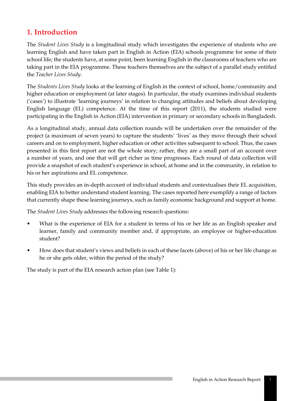## **1. Introduction**

The *Student Lives Study* is a longitudinal study which investigates the experience of students who are learning English and have taken part in English in Action (EIA) schools programme for some of their school life; the students have, at some point, been learning English in the classrooms of teachers who are taking part in the EIA programme. These teachers themselves are the subject of a parallel study entitled the *Teacher Lives Study*.

The *Students Lives Study* looks at the learning of English in the context of school, home/community and higher education or employment (at later stages). In particular, the study examines individual students ('cases') to illustrate 'learning journeys' in relation to changing attitudes and beliefs about developing English language (EL) competence. At the time of this report (2011), the students studied were participating in the English in Action (EIA) intervention in primary or secondary schools in Bangladesh.

As a longitudinal study, annual data collection rounds will be undertaken over the remainder of the project (a maximum of seven years) to capture the students' 'lives' as they move through their school careers and on to employment, higher education or other activities subsequent to school. Thus, the cases presented in this first report are not the whole story; rather, they are a small part of an account over a number of years, and one that will get richer as time progresses. Each round of data collection will provide a snapshot of each student's experience in school, at home and in the community, in relation to his or her aspirations and EL competence.

This study provides an in-depth account of individual students and contextualises their EL acquisition, enabling EIA to better understand student learning. The cases reported here exemplify a range of factors that currently shape these learning journeys, such as family economic background and support at home.

The *Student Lives Study* addresses the following research questions:

- What is the experience of EIA for a student in terms of his or her life as an English speaker and learner, family and community member and, if appropriate, an employee or higher-education student?
- How does that student's views and beliefs in each of these facets (above) of his or her life change as he or she gets older, within the period of the study?

The study is part of the EIA research action plan (see Table 1):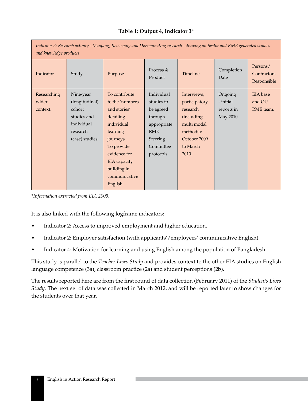#### **Table 1: Output 4, Indicator 3\***

| Indicator 3: Research activity - Mapping, Reviewing and Disseminating research - drawing on Sector and RME generated studies<br>and knowledge products |                                                                                                   |                                                                                                                                                                                                |                                                                                                                             |                                                                                                                         |                                                 |                                        |  |
|--------------------------------------------------------------------------------------------------------------------------------------------------------|---------------------------------------------------------------------------------------------------|------------------------------------------------------------------------------------------------------------------------------------------------------------------------------------------------|-----------------------------------------------------------------------------------------------------------------------------|-------------------------------------------------------------------------------------------------------------------------|-------------------------------------------------|----------------------------------------|--|
| Indicator                                                                                                                                              | Study                                                                                             | Purpose                                                                                                                                                                                        | Process $&$<br>Product                                                                                                      | Timeline                                                                                                                | Completion<br>Date                              | Persons/<br>Contractors<br>Responsible |  |
| Researching<br>wider<br>context.                                                                                                                       | Nine-year<br>(longitudinal)<br>cohort<br>studies and<br>individual<br>research<br>(case) studies. | To contribute<br>to the 'numbers<br>and stories'<br>detailing<br>individual<br>learning<br>journeys.<br>To provide<br>evidence for<br>EIA capacity<br>building in<br>communicative<br>English. | Individual<br>studies to<br>be agreed<br>through<br>appropriate<br><b>RME</b><br><b>Steering</b><br>Committee<br>protocols. | Interviews,<br>participatory<br>research<br>(including<br>multi modal<br>methods):<br>October 2009<br>to March<br>2010. | Ongoing<br>- initial<br>reports in<br>May 2010. | EIA base<br>and OU<br>RME team.        |  |

*\*Information extracted from EIA 2009.*

It is also linked with the following logframe indicators:

- Indicator 2: Access to improved employment and higher education.
- Indicator 2: Employer satisfaction (with applicants'/employees' communicative English).
- Indicator 4: Motivation for learning and using English among the population of Bangladesh.

This study is parallel to the *Teacher Lives Study* and provides context to the other EIA studies on English language competence (3a), classroom practice (2a) and student perceptions (2b).

The results reported here are from the first round of data collection (February 2011) of the *Students Lives Study*. The next set of data was collected in March 2012, and will be reported later to show changes for the students over that year.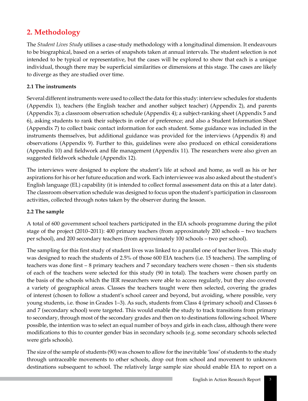# **2. Methodology**

The *Student Lives Study* utilises a case-study methodology with a longitudinal dimension. It endeavours to be biographical, based on a series of snapshots taken at annual intervals. The student selection is not intended to be typical or representative, but the cases will be explored to show that each is a unique individual, though there may be superficial similarities or dimensions at this stage. The cases are likely to diverge as they are studied over time.

### **2.1 The instruments**

Several different instruments were used to collect the data for this study: interview schedules for students (Appendix 1), teachers (the English teacher and another subject teacher) (Appendix 2), and parents (Appendix 3); a classroom observation schedule (Appendix 4); a subject-ranking sheet (Appendix 5 and 6), asking students to rank their subjects in order of preference; and also a Student Information Sheet (Appendix 7) to collect basic contact information for each student. Some guidance was included in the instruments themselves, but additional guidance was provided for the interviews (Appendix 8) and observations (Appendix 9). Further to this, guidelines were also produced on ethical considerations (Appendix 10) and fieldwork and file management (Appendix 11). The researchers were also given an suggested fieldwork schedule (Appendix 12).

The interviews were designed to explore the student's life at school and home, as well as his or her aspirations for his or her future education and work. Each interviewee was also asked about the student's English language (EL) capability (it is intended to collect formal assessment data on this at a later date). The classroom observation schedule was designed to focus upon the student's participation in classroom activities, collected through notes taken by the observer during the lesson.

#### **2.2 The sample**

A total of 600 government school teachers participated in the EIA schools programme during the pilot stage of the project (2010–2011): 400 primary teachers (from approximately 200 schools – two teachers per school), and 200 secondary teachers (from approximately 100 schools – two per school).

The sampling for this first study of student lives was linked to a parallel one of teacher lives. This study was designed to reach the students of 2.5% of those 600 EIA teachers (i.e. 15 teachers). The sampling of teachers was done first – 8 primary teachers and 7 secondary teachers were chosen – then six students of each of the teachers were selected for this study (90 in total). The teachers were chosen partly on the basis of the schools which the IER researchers were able to access regularly, but they also covered a variety of geographical areas. Classes the teachers taught were then selected, covering the grades of interest (chosen to follow a student's school career and beyond, but avoiding, where possible, very young students, i.e. those in Grades 1–3). As such, students from Class 4 (primary school) and Classes 6 and 7 (secondary school) were targeted. This would enable the study to track transitions from primary to secondary, through most of the secondary grades and then on to destinations following school. Where possible, the intention was to select an equal number of boys and girls in each class, although there were modifications to this to counter gender bias in secondary schools (e.g. some secondary schools selected were girls schools).

The size of the sample of students (90) was chosen to allow for the inevitable 'loss' of students to the study through untraceable movements to other schools, drop out from school and movement to unknown destinations subsequent to school. The relatively large sample size should enable EIA to report on a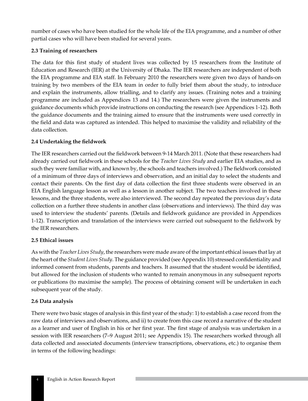number of cases who have been studied for the whole life of the EIA programme, and a number of other partial cases who will have been studied for several years.

### **2.3 Training of researchers**

The data for this first study of student lives was collected by 15 researchers from the Institute of Education and Research (IER) at the University of Dhaka. The IER researchers are independent of both the EIA programme and EIA staff. In February 2010 the researchers were given two days of hands-on training by two members of the EIA team in order to fully brief them about the study, to introduce and explain the instruments, allow trialling, and to clarify any issues. (Training notes and a training programme are included as Appendices 13 and 14.) The researchers were given the instruments and guidance documents which provide instructions on conducting the research (see Appendices 1-12). Both the guidance documents and the training aimed to ensure that the instruments were used correctly in the field and data was captured as intended. This helped to maximise the validity and reliability of the data collection.

### **2.4 Undertaking the fieldwork**

The IER researchers carried out the fieldwork between 9-14 March 2011. (Note that these researchers had already carried out fieldwork in these schools for the *Teacher Lives Study* and earlier EIA studies, and as such they were familiar with, and known by, the schools and teachers involved.) The fieldwork consisted of a minimum of three days of interviews and observation, and an initial day to select the students and contact their parents. On the first day of data collection the first three students were observed in an EIA English language lesson as well as a lesson in another subject. The two teachers involved in these lessons, and the three students, were also interviewed. The second day repeated the previous day's data collection on a further three students in another class (observations and interviews). The third day was used to interview the students' parents. (Details and fieldwork guidance are provided in Appendices 1-12). Transcription and translation of the interviews were carried out subsequent to the fieldwork by the IER researchers.

#### **2.5 Ethical issues**

As with the *Teacher Lives Study*, the researchers were made aware of the important ethical issues that lay at the heart of the *Student Lives Study*. The guidance provided (see Appendix 10) stressed confidentiality and informed consent from students, parents and teachers. It assumed that the student would be identified, but allowed for the inclusion of students who wanted to remain anonymous in any subsequent reports or publications (to maximise the sample). The process of obtaining consent will be undertaken in each subsequent year of the study.

#### **2.6 Data analysis**

There were two basic stages of analysis in this first year of the study: 1) to establish a case record from the raw data of interviews and observations, and ii) to create from this case record a narrative of the student as a learner and user of English in his or her first year. The first stage of analysis was undertaken in a session with IER researchers (7–9 August 2011; see Appendix 15). The researchers worked through all data collected and associated documents (interview transcriptions, observations, etc.) to organise them in terms of the following headings: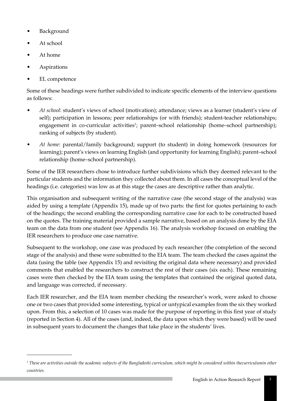- **Background**
- At school
- At home
- **Aspirations**
- EL competence

Some of these headings were further subdivided to indicate specific elements of the interview questions as follows:

- *At school*: student's views of school (motivation); attendance; views as a learner (student's view of self); participation in lessons; peer relationships (or with friends); student-teacher relationships; engagement in co-curricular activities<sup>1</sup>; parent–school relationship (home–school partnership); ranking of subjects (by student).
- *At home*: parental/family background; support (to student) in doing homework (resources for learning); parent's views on learning English (and opportunity for learning English); parent–school relationship (home–school partnership).

Some of the IER researchers chose to introduce further subdivisions which they deemed relevant to the particular students and the information they collected about them. In all cases the conceptual level of the headings (i.e. categories) was low as at this stage the cases are descriptive rather than analytic.

This organisation and subsequent writing of the narrative case (the second stage of the analysis) was aided by using a template (Appendix 15), made up of two parts: the first for quotes pertaining to each of the headings; the second enabling the corresponding narrative case for each to be constructed based on the quotes. The training material provided a sample narrative, based on an analysis done by the EIA team on the data from one student (see Appendix 16). The analysis workshop focused on enabling the IER researchers to produce one case narrative.

Subsequent to the workshop, one case was produced by each researcher (the completion of the second stage of the analysis) and these were submitted to the EIA team. The team checked the cases against the data (using the table (see Appendix 15) and revisiting the original data where necessary) and provided comments that enabled the researchers to construct the rest of their cases (six each). These remaining cases were then checked by the EIA team using the templates that contained the original quoted data, and language was corrected, if necessary.

Each IER researcher, and the EIA team member checking the researcher's work, were asked to choose one or two cases that provided some interesting, typical or untypical examples from the six they worked upon. From this, a selection of 10 cases was made for the purpose of reporting in this first year of study (reported in Section 4). All of the cases (and, indeed, the data upon which they were based) will be used in subsequent years to document the changes that take place in the students' lives.

*<sup>1</sup> These are activities outside the academic subjects of the Bangladeshi curriculum, which might be considered within thecurriculumin other countries.*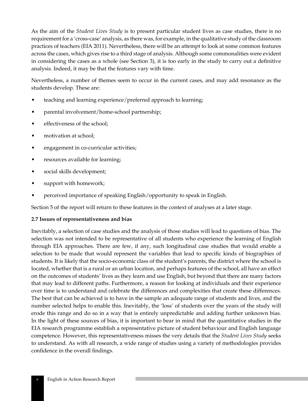As the aim of the *Student Lives Study* is to present particular student lives as case studies, there is no requirement for a 'cross-case' analysis, as there was, for example, in the qualitative study of the classroom practices of teachers (EIA 2011). Nevertheless, there will be an attempt to look at some common features across the cases, which gives rise to a third stage of analysis. Although some commonalities were evident in considering the cases as a whole (see Section 3), it is too early in the study to carry out a definitive analysis. Indeed, it may be that the features vary with time.

Nevertheless, a number of themes seem to occur in the current cases, and may add resonance as the students develop. These are:

- teaching and learning experience/preferred approach to learning;
- parental involvement/home-school partnership;
- effectiveness of the school;
- motivation at school;
- engagement in co-curricular activities;
- resources available for learning;
- social skills development;
- support with homework;
- perceived importance of speaking English/opportunity to speak in English.

Section 5 of the report will return to these features in the context of analyses at a later stage.

#### **2.7 Issues of representativeness and bias**

Inevitably, a selection of case studies and the analysis of those studies will lead to questions of bias. The selection was not intended to be representative of all students who experience the learning of English through EIA approaches. There are few, if any, such longitudinal case studies that would enable a selection to be made that would represent the variables that lead to specific kinds of biographies of students. It is likely that the socio-economic class of the student's parents, the district where the school is located, whether that is a rural or an urban location, and perhaps features of the school, all have an effect on the outcomes of students' lives as they learn and use English, but beyond that there are many factors that may lead to different paths. Furthermore, a reason for looking at individuals and their experience over time is to understand and celebrate the differences and complexities that create these differences. The best that can be achieved is to have in the sample an adequate range of students and lives, and the number selected helps to enable this. Inevitably, the 'loss' of students over the years of the study will erode this range and do so in a way that is entirely unpredictable and adding further unknown bias. In the light of these sources of bias, it is important to bear in mind that the quantitative studies in the EIA research programme establish a representative picture of student behaviour and English language competence. However, this representativeness misses the very details that the *Student Lives Study* seeks to understand. As with all research, a wide range of studies using a variety of methodologies provides confidence in the overall findings.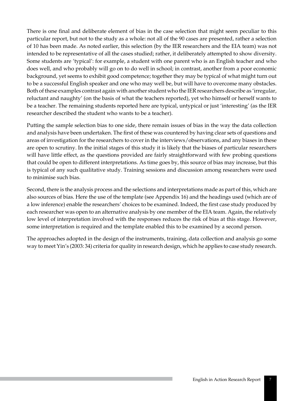There is one final and deliberate element of bias in the case selection that might seem peculiar to this particular report, but not to the study as a whole: not all of the 90 cases are presented, rather a selection of 10 has been made. As noted earlier, this selection (by the IER researchers and the EIA team) was not intended to be representative of all the cases studied; rather, it deliberately attempted to show diversity. Some students are 'typical': for example, a student with one parent who is an English teacher and who does well, and who probably will go on to do well in school; in contrast, another from a poor economic background, yet seems to exhibit good competence; together they may be typical of what might turn out to be a successful English speaker and one who may well be, but will have to overcome many obstacles. Both of these examples contrast again with another student who the IER researchers describe as 'irregular, reluctant and naughty' (on the basis of what the teachers reported), yet who himself or herself wants to be a teacher. The remaining students reported here are typical, untypical or just 'interesting' (as the IER researcher described the student who wants to be a teacher).

Putting the sample selection bias to one side, there remain issues of bias in the way the data collection and analysis have been undertaken. The first of these was countered by having clear sets of questions and areas of investigation for the researchers to cover in the interviews/observations, and any biases in these are open to scrutiny. In the initial stages of this study it is likely that the biases of particular researchers will have little effect, as the questions provided are fairly straightforward with few probing questions that could be open to different interpretations. As time goes by, this source of bias may increase, but this is typical of any such qualitative study. Training sessions and discussion among researchers were used to minimise such bias.

Second, there is the analysis process and the selections and interpretations made as part of this, which are also sources of bias. Here the use of the template (see Appendix 16) and the headings used (which are of a low inference) enable the researchers' choices to be examined. Indeed, the first case study produced by each researcher was open to an alternative analysis by one member of the EIA team. Again, the relatively low level of interpretation involved with the responses reduces the risk of bias at this stage. However, some interpretation is required and the template enabled this to be examined by a second person.

The approaches adopted in the design of the instruments, training, data collection and analysis go some way to meet Yin's (2003: 34) criteria for quality in research design, which he applies to case study research.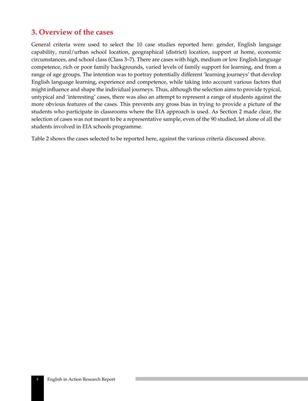## **3. Overview of the cases**

General criteria were used to select the 10 case studies reported here: gender, English language capability, rural/urban school location, geographical (district) location, support at home, economic circumstances, and school class (Class 3–7). There are cases with high, medium or low English language competence, rich or poor family backgrounds, varied levels of family support for learning, and from a range of age groups. The intention was to portray potentially different 'learning journeys' that develop English language learning, experience and competence, while taking into account various factors that might influence and shape the individual journeys. Thus, although the selection aims to provide typical, untypical and 'interesting' cases, there was also an attempt to represent a range of students against the more obvious features of the cases. This prevents any gross bias in trying to provide a picture of the students who participate in classrooms where the EIA approach is used. As Section 2 made clear, the selection of cases was not meant to be a representative sample, even of the 90 studied, let alone of all the students involved in EIA schools programme.

Table 2 shows the cases selected to be reported here, against the various criteria discussed above.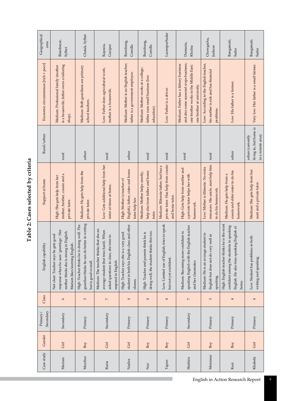| j |  |
|---|--|
| č |  |
|   |  |
|   |  |
|   |  |

| Geographical<br>area                 | Bianibazar,<br>Sylhet                                                                                                                                       | Chatak, Sylhet                                                                                                    | Kapasia,<br>Gazipur                                                                                                                                  | Burichang,<br>Comilla                                                                               | Burichang,<br>Comilla                                                                | LaxmipurSadar                                                                                  | Dumuria,<br>Khulna                                                                                                                                     | Chowgacha,<br>Joshore                                                                             | Rangamati,<br>Sadar                                                                                                                            | Rangamati,<br>Sadar                                             |
|--------------------------------------|-------------------------------------------------------------------------------------------------------------------------------------------------------------|-------------------------------------------------------------------------------------------------------------------|------------------------------------------------------------------------------------------------------------------------------------------------------|-----------------------------------------------------------------------------------------------------|--------------------------------------------------------------------------------------|------------------------------------------------------------------------------------------------|--------------------------------------------------------------------------------------------------------------------------------------------------------|---------------------------------------------------------------------------------------------------|------------------------------------------------------------------------------------------------------------------------------------------------|-----------------------------------------------------------------|
| Economic circumstances [rich v poor] | is a housewife; father owns a tailoring<br>Medium: Professional family (mother<br>shop).                                                                    | Medium: Both guardians are primary<br>school teachers.                                                            | Low: Father does agricultural work;<br>mother is a housewife.                                                                                        | Medium: Mother is an English teacher;<br>father is a government employee.                           | Medium: Mother works at a college;<br>father runs small business (low<br>education). | Low: Father is a driver.                                                                       | and also some seasonal crops business;<br>Medium: Father has a fishery business<br>one brother works in the Middle East;<br>one brother at university. | Low: According to the English teacher,<br>his mother is sick and has financial<br>problems.       | Low: His father is a farmer.                                                                                                                   | Very low: Her father is a small farmer.                         |
| Rural/urban                          | rural                                                                                                                                                       | urban                                                                                                             | rural                                                                                                                                                | urban                                                                                               | rural                                                                                | rural                                                                                          | rural                                                                                                                                                  | rural                                                                                             | urban                                                                                                                                          | living in, but home is<br>in a remote area)<br>urban (currently |
| Support at home                      | mother, brother, cousin and a<br>High: She gets help from her<br>private tutor.                                                                             | Medium: He gets help from the<br>private tutor.                                                                   | Low: Gets additional help from her<br>sister at times at home.                                                                                       | English), father, sister and home<br>High: Mother (a teacher of<br>tutor help her.                  | help also from father and home<br>Medium: Mother helps mostly;<br>tutor.             | private tutor. Has help from cousin<br>Medium: Illiterate father, but has a<br>and home tutor. | High: Gets help from mother and<br>a private tutor helps her with<br>homework.                                                                         | resources. His uncle, aunt help him<br>Low: Mother is illiterate. No extra<br>to do his homework. | cousin and elder sister to do his<br>Medium: He gets help from a<br>homework.                                                                  | Medium: She gets help from her<br>aunt and a private tutor.     |
| English capability                   | response when he uses 'greetings'. Her<br>mother thinks she is strong in English.<br>Not clear: Teacher says he gets good<br>Mariam likes learning English. | guardian thinks he can do better in writing<br>High: Teacher thinks he is doing well. The<br>but is good overall. | Medium: The teacher thinks that she an<br>average student (but tries hard). When<br>she tries to<br>asked questions in class,<br>respond in English. | student in both his English class and other<br>a very good<br>High: Teacher says she is<br>classes. | doing well; the student thinks this too.<br>High: Teacher and parents think he is    | Low: Limited use of English; tries to speak<br>but not yet confident.                          | speaking English with the English teacher<br>Medium: Becoming more confident in<br>and her classmates.                                                 | Medium: He is an average student in<br>English but does not do very well in<br>speaking.          | High: English teacher thinks he is the most<br>confident among the students in speaking<br>English. He also tries speaking English at<br>home. | Low: Student has problems in both<br>writing and speaking.      |
| Class                                | 6                                                                                                                                                           | $\mathfrak{c}$                                                                                                    | $\overline{\phantom{a}}$                                                                                                                             | 4                                                                                                   | 4                                                                                    | 4                                                                                              | $\overline{\phantom{a}}$                                                                                                                               | 3                                                                                                 | 4                                                                                                                                              | 4                                                               |
| Secondary<br>Primary/                | Secondary                                                                                                                                                   | Primary                                                                                                           | Secondary                                                                                                                                            | Primary                                                                                             | Primary                                                                              | Primary                                                                                        | Secondary                                                                                                                                              | Primary                                                                                           | Primary                                                                                                                                        | Primary                                                         |
| Gender                               | Girl                                                                                                                                                        | Boy                                                                                                               | $\rm{Grl}$                                                                                                                                           | $\rm{Gi}$                                                                                           | Boy                                                                                  | Boy                                                                                            | Gi1                                                                                                                                                    | Boy                                                                                               | Boy                                                                                                                                            | $\rm{Gi}$                                                       |
| Case study                           | Mariam                                                                                                                                                      | Mozibur                                                                                                           | Razia                                                                                                                                                | Nadira                                                                                              | $\rm \stackrel{\rm irr}{\sim}$                                                       | Tapan                                                                                          | Shahina                                                                                                                                                | Monimur                                                                                           | Kazi                                                                                                                                           | Khaleda                                                         |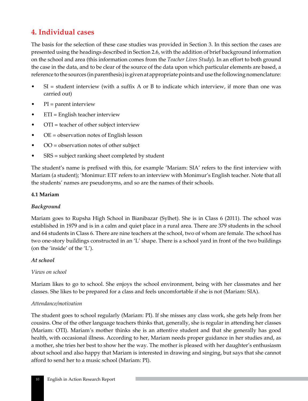# **4. Individual cases**

The basis for the selection of these case studies was provided in Section 3. In this section the cases are presented using the headings described in Section 2.6, with the addition of brief background information on the school and area (this information comes from the *Teacher Lives Study*). In an effort to both ground the case in the data, and to be clear of the source of the data upon which particular elements are based, a reference to the sources (in parenthesis) is given at appropriate points and use the following nomenclature:

- $SI = student$  interview (with a suffix A or B to indicate which interview, if more than one was carried out)
- $\bullet$  PI = parent interview
- ETI = English teacher interview
- OTI = teacher of other subject interview
- $OE = observation$  notes of English lesson
- OO = observation notes of other subject
- SRS = subject ranking sheet completed by student

The student's name is prefixed with this, for example 'Mariam: SIA' refers to the first interview with Mariam (a student); 'Monimur: ETI' refers to an interview with Monimur's English teacher. Note that all the students' names are pseudonyms, and so are the names of their schools.

#### **4.1 Mariam**

#### *Background*

Mariam goes to Rupsha High School in Bianibazar (Sylhet). She is in Class 6 (2011). The school was established in 1979 and is in a calm and quiet place in a rural area. There are 379 students in the school and 64 students in Class 6. There are nine teachers at the school, two of whom are female. The school has two one-story buildings constructed in an 'L' shape. There is a school yard in front of the two buildings (on the 'inside' of the 'L').

#### *At school*

#### *Views on school*

Mariam likes to go to school. She enjoys the school environment, being with her classmates and her classes. She likes to be prepared for a class and feels uncomfortable if she is not (Mariam: SIA).

#### *Attendance/motivation*

The student goes to school regularly (Mariam: PI). If she misses any class work, she gets help from her cousins. One of the other language teachers thinks that, generally, she is regular in attending her classes (Mariam: OTI). Mariam's mother thinks she is an attentive student and that she generally has good health, with occasional illness. According to her, Mariam needs proper guidance in her studies and, as a mother, she tries her best to show her the way. The mother is pleased with her daughter's enthusiasm about school and also happy that Mariam is interested in drawing and singing, but says that she cannot afford to send her to a music school (Mariam: PI).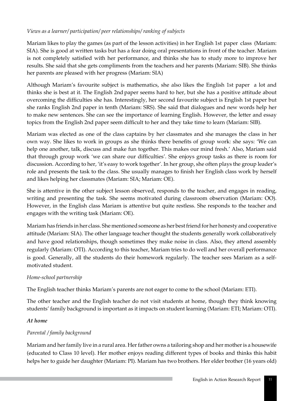## *Views as a learner/ participation/ peer relationships/ ranking of subjects*

Mariam likes to play the games (as part of the lesson activities) in her English 1st paper class (Mariam: SIA). She is good at written tasks but has a fear doing oral presentations in front of the teacher. Mariam is not completely satisfied with her performance, and thinks she has to study more to improve her results. She said that she gets compliments from the teachers and her parents (Mariam: SIB). She thinks her parents are pleased with her progress (Mariam: SIA)

Although Mariam's favourite subject is mathematics, she also likes the English 1st paper a lot and thinks she is best at it. The English 2nd paper seems hard to her, but she has a positive attitude about overcoming the difficulties she has. Interestingly, her second favourite subject is English 1st paper but she ranks English 2nd paper in tenth (Mariam: SRS). She said that dialogues and new words help her to make new sentences. She can see the importance of learning English. However, the letter and essay topics from the English 2nd paper seem difficult to her and they take time to learn (Mariam: SIB).

Mariam was elected as one of the class captains by her classmates and she manages the class in her own way. She likes to work in groups as she thinks there benefits of group work: she says: 'We can help one another, talk, discuss and make fun together. This makes our mind fresh.' Also, Mariam said that through group work 'we can share our difficulties'. She enjoys group tasks as there is room for discussion. According to her, 'it's easy to work together'. In her group, she often plays the group leader's role and presents the task to the class. She usually manages to finish her English class work by herself and likes helping her classmates (Mariam: SIA; Mariam: OE).

She is attentive in the other subject lesson observed, responds to the teacher, and engages in reading, writing and presenting the task. She seems motivated during classroom observation (Mariam: OO). However, in the English class Mariam is attentive but quite restless. She responds to the teacher and engages with the writing task (Mariam: OE).

Mariam has friends in her class. She mentioned someone as her best friend for her honesty and cooperative attitude (Mariam: SIA). The other language teacher thought the students generally work collaboratively and have good relationships, though sometimes they make noise in class. Also, they attend assembly regularly (Mariam: OTI). According to this teacher, Mariam tries to do well and her overall performance is good. Generally, all the students do their homework regularly. The teacher sees Mariam as a selfmotivated student.

#### *Home-school partnership*

The English teacher thinks Mariam's parents are not eager to come to the school (Mariam: ETI).

The other teacher and the English teacher do not visit students at home, though they think knowing students' family background is important as it impacts on student learning (Mariam: ETI; Mariam: OTI).

#### *At home*

## *Parental / family background*

Mariam and her family live in a rural area. Her father owns a tailoring shop and her mother is a housewife (educated to Class 10 level). Her mother enjoys reading different types of books and thinks this habit helps her to guide her daughter (Mariam: PI). Mariam has two brothers. Her elder brother (16 years old)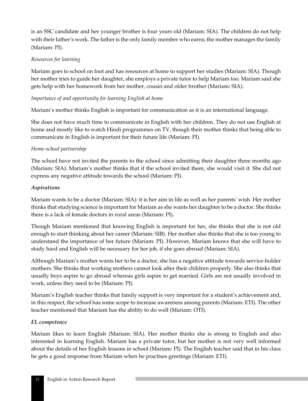is an SSC candidate and her younger brother is four years old (Mariam: SIA). The children do not help with their father's work. The father is the only family member who earns; the mother manages the family (Mariam: PI).

#### *Resources for learning*

Mariam goes to school on foot and has resources at home to support her studies (Mariam: SIA). Though her mother tries to guide her daughter, she employs a private tutor to help Mariam too. Mariam said she gets help with her homework from her mother, cousin and older brother (Mariam: SIA).

## *Importance of and opportunity for learning English at home*

Mariam's mother thinks English is important for communication as it is an international language.

She does not have much time to communicate in English with her children. They do not use English at home and mostly like to watch Hindi programmes on TV, though their mother thinks that being able to communicate in English is important for their future life (Mariam: PI).

### *Home-school partnership*

The school have not invited the parents to the school since admitting their daughter three months ago (Mariam: SIA). Mariam's mother thinks that if the school invited them, she would visit it. She did not express any negative attitude towards the school (Mariam: PI).

#### *Aspirations*

Mariam wants to be a doctor (Mariam: SIA): it is her aim in life as well as her parents' wish. Her mother thinks that studying science is important for Mariam as she wants her daughter to be a doctor. She thinks there is a lack of female doctors in rural areas (Mariam: PI).

Though Mariam mentioned that knowing English is important for her, she thinks that she is not old enough to start thinking about her career (Mariam: SIB). Her mother also thinks that she is too young to understand the importance of her future (Mariam: PI). However, Mariam knows that she will have to study hard and English will be necessary for her job, if she goes abroad (Mariam: SIA).

Although Mariam's mother wants her to be a doctor, she has a negative attitude towards service-holder mothers. She thinks that working mothers cannot look after their children properly. She also thinks that usually boys aspire to go abroad whereas girls aspire to get married. Girls are not usually involved in work, unless they need to be (Mariam: PI).

Mariam's English teacher thinks that family support is very important for a student's achievement and, in this respect, the school has some scope to increase awareness among parents (Mariam: ETI). The other teacher mentioned that Mariam has the ability to do well (Mariam: OTI).

#### *EL competence*

Mariam likes to learn English (Mariam: SIA). Her mother thinks she is strong in English and also interested in learning English. Mariam has a private tutor, but her mother is not very well informed about the details of her English lessons in school (Mariam: PI). The English teacher said that in his class he gets a good response from Mariam when he practises greetings (Mariam: ETI).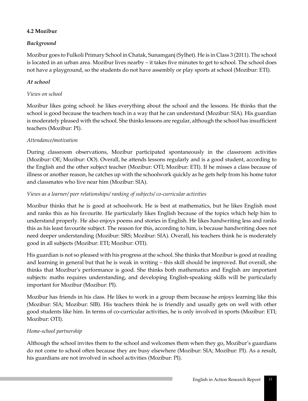## **4.2 Mozibur**

## *Background*

Mozibur goes to Fulkoli Primary School in Chatak, Sunamganj (Sylhet). He is in Class 3 (2011). The school is located in an urban area. Mozibur lives nearby – it takes five minutes to get to school. The school does not have a playground, so the students do not have assembly or play sports at school (Mozibur: ETI).

## *At school*

#### *Views on school*

Mozibur likes going school: he likes everything about the school and the lessons. He thinks that the school is good because the teachers teach in a way that he can understand (Mozibur: SIA). His guardian is moderately pleased with the school. She thinks lessons are regular, although the school has insufficient teachers (Mozibur: PI).

### *Attendance/motivation*

During classroom observations, Mozibur participated spontaneously in the classroom activities (Mozibur: OE; Mozibur: OO). Overall, he attends lessons regularly and is a good student, according to the English and the other subject teacher (Mozibur: OTI; Mozibur: ETI). If he misses a class because of illness or another reason, he catches up with the schoolwork quickly as he gets help from his home tutor and classmates who live near him (Mozibur: SIA).

### *Views as a learner/ peer relationships/ ranking of subjects/ co-curricular activities*

Mozibur thinks that he is good at schoolwork. He is best at mathematics, but he likes English most and ranks this as his favourite. He particularly likes English because of the topics which help him to understand properly. He also enjoys poems and stories in English. He likes handwriting less and ranks this as his least favourite subject. The reason for this, according to him, is because handwriting does not need deeper understanding (Mozibur: SRS; Mozibur: SIA). Overall, his teachers think he is moderately good in all subjects (Mozibur: ETI; Mozibur: OTI).

His guardian is not so pleased with his progress at the school. She thinks that Mozibur is good at reading and learning in general but that he is weak in writing – this skill should be improved. But overall, she thinks that Mozibur's performance is good. She thinks both mathematics and English are important subjects: maths requires understanding, and developing English-speaking skills will be particularly important for Mozibur (Mozibur: PI).

Mozibur has friends in his class. He likes to work in a group them because he enjoys learning like this (Mozibur: SIA; Mozibur: SIB). His teachers think he is friendly and usually gets on well with other good students like him. In terms of co-curricular activities, he is only involved in sports (Mozibur: ETI; Mozibur: OTI).

## *Home-school partnership*

Although the school invites them to the school and welcomes them when they go, Mozibur's guardians do not come to school often because they are busy elsewhere (Mozibur: SIA; Mozibur: PI). As a result, his guardians are not involved in school activities (Mozibur: PI).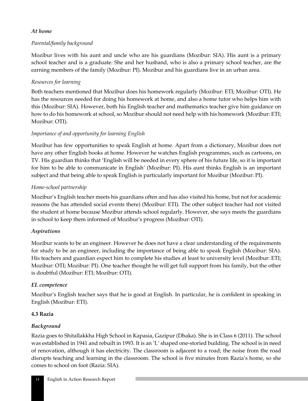### *At home*

## *Parental/family background*

Mozibur lives with his aunt and uncle who are his guardians (Mozibur: SIA). His aunt is a primary school teacher and is a graduate. She and her husband, who is also a primary school teacher, are the earning members of the family (Mozibur: PI). Mozibur and his guardians live in an urban area.

## *Resources for learning*

Both teachers mentioned that Mozibur does his homework regularly (Mozibur: ETI; Mozibur: OTI). He has the resources needed for doing his homework at home, and also a home tutor who helps him with this (Mozibur: SIA). However, both his English teacher and mathematics teacher give him guidance on how to do his homework at school, so Mozibur should not need help with his homework (Mozibur: ETI; Mozibur: OTI).

### *Importance of and opportunity for learning English*

Mozibur has few opportunities to speak English at home. Apart from a dictionary, Mozibur does not have any other English books at home. However he watches English programmes, such as cartoons, on TV. His guardian thinks that 'English will be needed in every sphere of his future life, so it is important for him to be able to communicate in English' (Mozibur: PI). His aunt thinks English is an important subject and that being able to speak English is particularly important for Mozibur (Mozibur: PI).

### *Home-school partnership*

Mozibur's English teacher meets his guardians often and has also visited his home, but not for academic reasons (he has attended social events there) (Mozibur: ETI). The other subject teacher had not visited the student at home because Mozibur attends school regularly. However, she says meets the guardians in school to keep them informed of Mozibur's progress (Mozibur: OTI).

#### *Aspirations*

Mozibur wants to be an engineer. However he does not have a clear understanding of the requirements for study to be an engineer, including the importance of being able to speak English (Mozibur: SIA). His teachers and guardian expect him to complete his studies at least to university level (Mozibur: ETI; Mozibur: OTI; Mozibur: PI). One teacher thought he will get full support from his family, but the other is doubtful (Mozibur: ETI; Mozibur: OTI).

#### *EL competence*

Mozibur's English teacher says that he is good at English. In particular, he is confident in speaking in English (Mozibur: ETI).

#### **4.3 Razia**

## *Background*

Razia goes to Shitallakkha High School in Kapasia, Gazipur (Dhaka). She is in Class 6 (2011). The school was established in 1941 and rebuilt in 1993. It is an 'L' shaped one-storied building. The school is in need of renovation, although it has electricity. The classroom is adjacent to a road; the noise from the road disrupts teaching and learning in the classroom. The school is five minutes from Razia's home, so she comes to school on foot (Razia: SIA).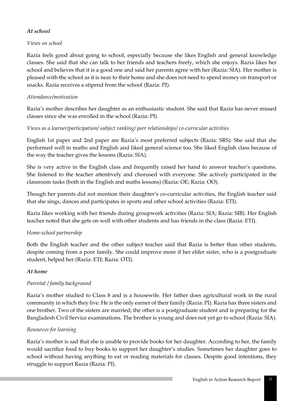#### *At school*

## *Views on school*

Razia feels good about going to school, especially because she likes English and general knowledge classes. She said that she can talk to her friends and teachers freely, which she enjoys. Razia likes her school and believes that it is a good one and said her parents agree with her (Razia: SIA). Her mother is pleased with the school as it is near to their home and she does not need to spend money on transport or snacks. Razia receives a stipend from the school (Razia: PI).

## *Attendance/motivation*

Razia's mother describes her daughter as an enthusiastic student. She said that Razia has never missed classes since she was enrolled in the school (Razia: PI).

### *Views as a learner/participation/ subject ranking/ peer relationships/ co-curricular activities*

English 1st paper and 2nd paper are Razia's most preferred subjects (Razia: SRS). She said that she performed well in maths and English and liked general science too. She liked English class because of the way the teacher gives the lessons (Razia: SIA).

She is very active in the English class and frequently raised her hand to answer teacher's questions. She listened to the teacher attentively and chorused with everyone. She actively participated in the classroom tasks (both in the English and maths lessons) (Razia: OE; Razia: OO).

Though her parents did not mention their daughter's co-curricular activities, the English teacher said that she sings, dances and participates in sports and other school activities (Razia: ETI).

Razia likes working with her friends during groupwork activities (Razia: SIA; Razia: SIB). Her English teacher noted that she gets on well with other students and has friends in the class (Razia: ETI).

## *Home-school partnership*

Both the English teacher and the other subject teacher said that Razia is better than other students, despite coming from a poor family. She could improve more if her elder sister, who is a postgraduate student, helped her (Razia: ETI; Razia: OTI).

#### *At home*

## *Parental / family background*

Razia's mother studied to Class 8 and is a housewife. Her father does agricultural work in the rural community in which they live. He is the only earner of their family (Razia: PI). Razia has three sisters and one brother. Two of the sisters are married; the other is a postgraduate student and is preparing for the Bangladesh Civil Service examinations. The brother is young and does not yet go to school (Razia: SIA).

#### *Resources for learning*

Razia's mother is sad that she is unable to provide books for her daughter. According to her, the family would sacrifice food to buy books to support her daughter's studies. Sometimes her daughter goes to school without having anything to eat or reading materials for classes. Despite good intentions, they struggle to support Razia (Razia: PI).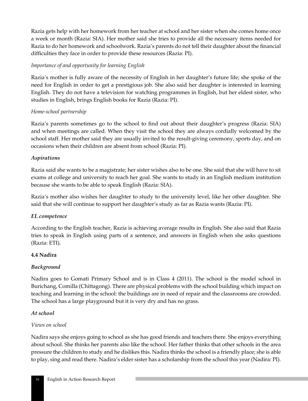Razia gets help with her homework from her teacher at school and her sister when she comes home once a week or month (Razia: SIA). Her mother said she tries to provide all the necessary items needed for Razia to do her homework and schoolwork. Razia's parents do not tell their daughter about the financial difficulties they face in order to provide these resources (Razia: PI).

### *Importance of and opportunity for learning English*

Razia's mother is fully aware of the necessity of English in her daughter's future life; she spoke of the need for English in order to get a prestigious job. She also said her daughter is interested in learning English. They do not have a television for watching programmes in English, but her eldest sister, who studies in English, brings English books for Razia (Razia: PI).

### *Home-school partnership*

Razia's parents sometimes go to the school to find out about their daughter's progress (Razia: SIA) and when meetings are called. When they visit the school they are always cordially welcomed by the school staff. Her mother said they are usually invited to the result-giving ceremony, sports day, and on occasions when their children are absent from school (Razia: PI).

### *Aspirations*

Razia said she wants to be a magistrate; her sister wishes also to be one. She said that she will have to sit exams at college and university to reach her goal. She wants to study in an English medium institution because she wants to be able to speak English (Razia: SIA).

Razia's mother also wishes her daughter to study to the university level, like her other daughter. She said that she will continue to support her daughter's study as far as Razia wants (Razia: PI).

#### *EL competence*

According to the English teacher, Razia is achieving average results in English. She also said that Razia tries to speak in English using parts of a sentence, and answers in English when she asks questions (Razia: ETI).

#### **4.4 Nadira**

## *Background*

Nadira goes to Gomati Primary School and is in Class 4 (2011). The school is the model school in Burichang, Comilla (Chittagong). There are physical problems with the school building which impact on teaching and learning in the school: the buildings are in need of repair and the classrooms are crowded. The school has a large playground but it is very dry and has no grass.

#### *At school*

#### *Views on school*

Nadira says she enjoys going to school as she has good friends and teachers there. She enjoys everything about school. She thinks her parents also like the school. Her father thinks that other schools in the area pressure the children to study and he dislikes this. Nadira thinks the school is a friendly place; she is able to play, sing and read there. Nadira's elder sister has a scholarship from the school this year (Nadira: PI).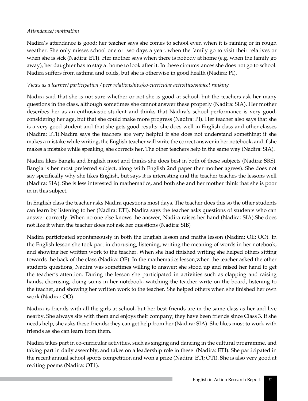### *Attendance/ motivation*

Nadira's attendance is good; her teacher says she comes to school even when it is raining or in rough weather. She only misses school one or two days a year, when the family go to visit their relatives or when she is sick (Nadira: ETI). Her mother says when there is nobody at home (e.g. when the family go away), her daughter has to stay at home to look after it. In these circumstances she does not go to school. Nadira suffers from asthma and colds, but she is otherwise in good health (Nadira: PI).

### *Views as a learner/ participation / peer relationships/co-curricular activities/subject ranking*

Nadira said that she is not sure whether or not she is good at school, but the teachers ask her many questions in the class, although sometimes she cannot answer these properly (Nadira: SIA). Her mother describes her as an enthusiastic student and thinks that Nadira's school performance is very good, considering her age, but that she could make more progress (Nadira: PI). Her teacher also says that she is a very good student and that she gets good results: she does well in English class and other classes (Nadira: ETI).Nadira says the teachers are very helpful if she does not understand something; if she makes a mistake while writing, the English teacher will write the correct answer in her notebook, and if she makes a mistake while speaking, she corrects her. The other teachers help in the same way (Nadira: SIA).

Nadira likes Bangla and English most and thinks she does best in both of these subjects (Nadira: SRS). Bangla is her most preferred subject, along with English 2nd paper (her mother agrees). She does not say specifically why she likes English, but says it is interesting and the teacher teaches the lessons well (Nadira: SIA). She is less interested in mathematics, and both she and her mother think that she is poor in in this subject.

In English class the teacher asks Nadira questions most days. The teacher does this so the other students can learn by listening to her (Nadira: ETI). Nadira says the teacher asks questions of students who can answer correctly. When no one else knows the answer, Nadira raises her hand (Nadira: SIA).She does not like it when the teacher does not ask her questions (Nadira: SIB)

Nadira participated spontaneously in both the English lesson and maths lesson (Nadira: OE; OO). In the English lesson she took part in chorusing, listening, writing the meaning of words in her notebook, and showing her written work to the teacher. When she had finished writing she helped others sitting towards the back of the class (Nadira: OE). In the mathematics lesson,when the teacher asked the other students questions, Nadira was sometimes willing to answer; she stood up and raised her hand to get the teacher's attention. During the lesson she participated in activities such as clapping and raising hands, chorusing, doing sums in her notebook, watching the teacher write on the board, listening to the teacher, and showing her written work to the teacher. She helped others when she finished her own work (Nadira: OO).

Nadira is friends with all the girls at school, but her best friends are in the same class as her and live nearby. She always sits with them and enjoys their company; they have been friends since Class 3. If she needs help, she asks these friends; they can get help from her (Nadira: SIA). She likes most to work with friends as she can learn from them.

Nadira takes part in co-curricular activities, such as singing and dancing in the cultural programme, and taking part in daily assembly, and takes on a leadership role in these (Nadira: ETI). She participated in the recent annual school sports competition and won a prize (Nadira: ETI; OTI). She is also very good at reciting poems (Nadira: OT1).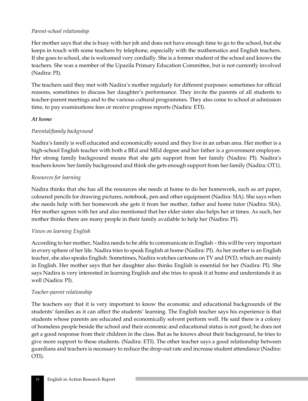#### *Parent-school relationship*

Her mother says that she is busy with her job and does not have enough time to go to the school, but she keeps in touch with some teachers by telephone, especially with the mathematics and English teachers. If she goes to school, she is welcomed very cordially. She is a former student of the school and knows the teachers. She was a member of the Upazila Primary Education Committee, but is not currently involved (Nadira: PI).

The teachers said they met with Nadira's mother regularly for different purposes: sometimes for official reasons, sometimes to discuss her daughter's performance. They invite the parents of all students to teacher-parent meetings and to the various cultural programmes. They also come to school at admission time, to pay examinations fees or receive progress reports (Nadira: ETI).

### *At home*

## *Parental/family background*

Nadira's family is well educated and economically sound and they live in an urban area. Her mother is a high-school English teacher with both a BEd and MEd degree and her father is a government employee. Her strong family background means that she gets support from her family (Nadira: PI). Nadira's teachers know her family background and think she gets enough support from her family (Nadira: OT1).

### *Resources for learning*

Nadira thinks that she has all the resources she needs at home to do her homework, such as art paper, coloured pencils for drawing pictures, notebook, pen and other equipment (Nadira: SIA). She says when she needs help with her homework she gets it from her mother, father and home tutor (Nadira: SIA). Her mother agrees with her and also mentioned that her elder sister also helps her at times. As such, her mother thinks there are many people in their family available to help her (Nadira: PI).

## *Views on learning English*

According to her mother, Nadira needs to be able to communicate in English – this will be very important in every sphere of her life. Nadira tries to speak English at home (Nadira: PI). As her mother is an English teacher, she also speaks English. Sometimes, Nadira watches cartoons on TV and DVD, which are mainly in English. Her mother says that her daughter also thinks English is essential for her (Nadira: PI). She says Nadira is very interested in learning English and she tries to speak it at home and understands it as well (Nadira: PI).

#### *Teacher-parent relationship*

The teachers say that it is very important to know the economic and educational backgrounds of the students' families as it can affect the students' learning. The English teacher says his experience is that students whose parents are educated and economically solvent perform well. He said there is a colony of homeless people beside the school and their economic and educational status is not good; he does not get a good response from their children in the class. But as he knows about their background, he tries to give more support to these students. (Nadira: ETI). The other teacher says a good relationship between guardians and teachers is necessary to reduce the drop-out rate and increase student attendance (Nadira: OTI).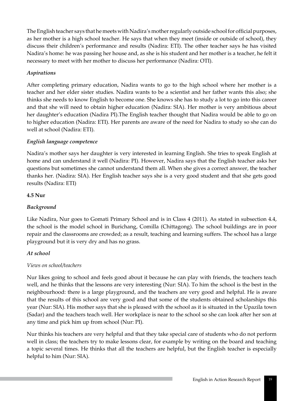The English teacher says that he meets with Nadira's mother regularly outside school for official purposes, as her mother is a high school teacher. He says that when they meet (inside or outside of school), they discuss their children's performance and results (Nadira: ETI). The other teacher says he has visited Nadira's home: he was passing her house and, as she is his student and her mother is a teacher, he felt it necessary to meet with her mother to discuss her performance (Nadira: OTI).

## *Aspirations*

After completing primary education, Nadira wants to go to the high school where her mother is a teacher and her elder sister studies. Nadira wants to be a scientist and her father wants this also; she thinks she needs to know English to become one. She knows she has to study a lot to go into this career and that she will need to obtain higher education (Nadira: SIA). Her mother is very ambitious about her daughter's education (Nadira PI).The English teacher thought that Nadira would be able to go on to higher education (Nadira: ETI). Her parents are aware of the need for Nadira to study so she can do well at school (Nadira: ETI).

## *English language competence*

Nadira's mother says her daughter is very interested in learning English. She tries to speak English at home and can understand it well (Nadira: PI). However, Nadira says that the English teacher asks her questions but sometimes she cannot understand them all. When she gives a correct answer, the teacher thanks her. (Nadira: SIA). Her English teacher says she is a very good student and that she gets good results (Nadira: ETI)

## **4.5 Nur**

## *Background*

Like Nadira, Nur goes to Gomati Primary School and is in Class 4 (2011). As stated in subsection 4.4, the school is the model school in Burichang, Comilla (Chittagong). The school buildings are in poor repair and the classrooms are crowded; as a result, teaching and learning suffers. The school has a large playground but it is very dry and has no grass.

## *At school*

## *Views on school/teachers*

Nur likes going to school and feels good about it because he can play with friends, the teachers teach well, and he thinks that the lessons are very interesting (Nur: SIA). To him the school is the best in the neighbourhood: there is a large playground, and the teachers are very good and helpful. He is aware that the results of this school are very good and that some of the students obtained scholarships this year (Nur: SIA). His mother says that she is pleased with the school as it is situated in the Upazila town (Sadar) and the teachers teach well. Her workplace is near to the school so she can look after her son at any time and pick him up from school (Nur: PI).

Nur thinks his teachers are very helpful and that they take special care of students who do not perform well in class; the teachers try to make lessons clear, for example by writing on the board and teaching a topic several times. He thinks that all the teachers are helpful, but the English teacher is especially helpful to him (Nur: SIA).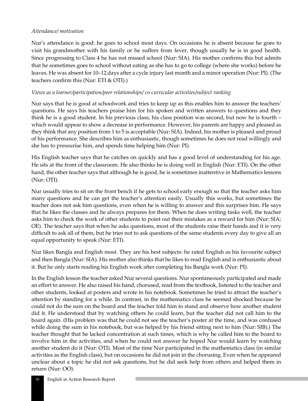#### *Attendance/ motivation*

Nur's attendance is good: he goes to school most days. On occasions he is absent because he goes to visit his grandmother with his family or he suffers from fever, though usually he is in good health. Since progressing to Class 4 he has not missed school (Nur: SIA). His mother confirms this but admits that he sometimes goes to school without eating as she has to go to college (where she works) before he leaves. He was absent for 10–12 days after a cycle injury last month and a minor operation (Nur: PI). (The teachers confirm this (Nur: ETI & OTI).)

### *Views as a learner/participation/peer relationships/ co-curricular activities/subject ranking*

Nur says that he is good at schoolwork and tries to keep up as this enables him to answer the teachers' questions. He says his teachers praise him for his spoken and written answers to questions and they think he is a good student. In his previous class, his class position was second, but now he is fourth – which would appear to show a decrease in performance. However, his parents are happy and pleased as they think that any position from 1 to 5 is acceptable (Nur: SIA). Indeed, his mother is pleased and proud of his performance. She describes him as enthusiastic, though sometimes he does not read willingly and she has to pressurise him, and spends time helping him (Nur: PI).

His English teacher says that he catches on quickly and has a good level of understanding for his age. He sits at the front of the classroom. He also thinks he is doing well in English (Nur: ETI). On the other hand, the other teacher says that although he is good, he is sometimes inattentive in Mathematics lessons (Nur: OTI).

Nur usually tries to sit on the front bench if he gets to school early enough so that the teacher asks him many questions and he can get the teacher's attention easily. Usually this works, but sometimes the teacher does not ask him questions, even when he is willing to answer and this surprises him. He says that he likes the classes and he always prepares for them. When he does writing tasks well, the teacher asks him to check the work of other students to point out their mistakes as a reward for him (Nur: SIA; OE). The teacher says that when he asks questions, most of the students raise their hands and it is very difficult to ask all of them, but he tries not to ask questions of the same students every day to give all an equal opportunity to speak (Nur: ETI).

Nur likes Bangla and English most. They are his best subjects: he rated English as his favourite subject and then Bangla (Nur: SIA). His mother also thinks that he likes to read English and is enthusiastic about it. But he only starts reading his English work after completing his Bangla work (Nur: PI).

In the English lesson the teacher asked Nur several questions. Nur spontaneously participated and made an effort to answer. He also raised his hand, chorused, read from the textbook, listened to the teacher and other students, looked at posters and wrote in his notebook. Sometimes he tried to attract the teacher's attention by standing for a while. In contrast, in the mathematics class he seemed shocked because he could not do the sum on the board and the teacher told him to stand and observe how another student did it. He understood that by watching others he could learn, but the teacher did not call him to the board again. (His problem was that he could not see the teacher's poster at the time, and was confused while doing the sum in his notebook, but was helped by his friend sitting next to him (Nur: SIB).) The teacher thought that he lacked concentration at such times, which is why he called him to the board to involve him in the activities, and when he could not answer he hoped Nur would learn by watching another student do it (Nur: OTI). Most of the time Nur participated in the mathematics class (in similar activities as the English class), but on occasions he did not join in the chorusing. Even when he appeared unclear about a topic he did not ask questions, but he did seek help from others and helped them in return (Nur: OO).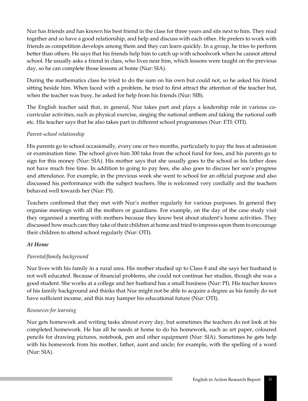Nur has friends and has known his best friend in the class for three years and sits next to him. They read together and so have a good relationship, and help and discuss with each other. He prefers to work with friends as competition develops among them and they can learn quickly. In a group, he tries to perform better than others. He says that his friends help him to catch up with schoolwork when he cannot attend school. He usually asks a friend in class, who lives near him, which lessons were taught on the previous day, so he can complete those lessons at home (Nur: SIA).

During the mathematics class he tried to do the sum on his own but could not, so he asked his friend sitting beside him. When faced with a problem, he tried to first attract the attention of the teacher but, when the teacher was busy, he asked for help from his friends (Nur: SIB).

The English teacher said that, in general, Nur takes part and plays a leadership role in various cocurricular activities, such as physical exercise, singing the national anthem and taking the national oath etc. His teacher says that he also takes part in different school programmes (Nur: ETI: OTI).

### *Parent-school relationship*

His parents go to school occasionally, every one or two months, particularly to pay the fees at admission or examination time. The school gives him 300 taka from the school fund for fees, and his parents go to sign for this money (Nur: SIA). His mother says that she usually goes to the school as his father does not have much free time. In addition to going to pay fees, she also goes to discuss her son's progress and attendance. For example, in the previous week she went to school for an official purpose and also discussed his performance with the subject teachers. She is welcomed very cordially and the teachers behaved well towards her (Nur: PI).

Teachers confirmed that they met with Nur's mother regularly for various purposes. In general they organise meetings with all the mothers or guardians. For example, on the day of the case study visit they organised a meeting with mothers because they know best about student's home activities. They discussed how much care they take of their children at home and tried to impress upon them to encourage their children to attend school regularly (Nur: OTI).

#### *At Home*

## *Parental/family background*

Nur lives with his family in a rural area. His mother studied up to Class 8 and she says her husband is not well educated. Because of financial problems, she could not continue her studies, though she was a good student. She works at a college and her husband has a small business (Nur: PI). His teacher knows of his family background and thinks that Nur might not be able to acquire a degree as his family do not have sufficient income, and this may hamper his educational future (Nur: OTI).

## *Resources for learning*

Nur gets homework and writing tasks almost every day, but sometimes the teachers do not look at his completed homework. He has all he needs at home to do his homework, such as art paper, coloured pencils for drawing pictures, notebook, pen and other equipment (Nur: SIA). Sometimes he gets help with his homework from his mother, father, aunt and uncle; for example, with the spelling of a word (Nur: SIA).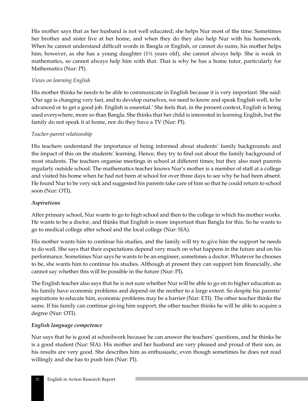His mother says that as her husband is not well educated; she helps Nur most of the time. Sometimes her brother and sister live at her home, and when they do they also help Nur with his homework. When he cannot understand difficult words in Bangla or English, or cannot do sums, his mother helps him; however, as she has a young daughter (1½ years old), she cannot always help. She is weak in mathematics, so cannot always help him with that. That is why he has a home tutor, particularly for Mathematics (Nur: PI).

## *Views on learning English*

His mother thinks he needs to be able to communicate in English because it is very important. She said: 'Our age is changing very fast, and to develop ourselves, we need to know and speak English well, to be advanced or to get a good job. English is essential.' She feels that, in the present context, English is being used everywhere, more so than Bangla. She thinks that her child is interested in learning English, but the family do not speak it at home, nor do they have a TV (Nur: PI).

#### *Teacher-parent relationship*

His teachers understand the importance of being informed about students' family backgrounds and the impact of this on the students' learning. Hence, they try to find out about the family background of most students. The teachers organise meetings in school at different times; but they also meet parents regularly outside school. The mathematics teacher knows Nur's mother is a member of staff at a college and visited his home when he had not been at school for over three days to see why he had been absent. He found Nur to be very sick and suggested his parents take care of him so that he could return to school soon (Nur: OTI).

#### *Aspirations*

After primary school, Nur wants to go to high school and then to the college in which his mother works. He wants to be a doctor, and thinks that English is more important than Bangla for this. So he wants to go to medical college after school and the local college (Nur: SIA).

His mother wants him to continue his studies, and the family will try to give him the support he needs to do well. She says that their expectations depend very much on what happens in the future and on his performance. Sometimes Nur says he wants to be an engineer, sometimes a doctor. Whatever he chooses to be, she wants him to continue his studies. Although at present they can support him financially, she cannot say whether this will be possible in the future (Nur: PI).

The English teacher also says that he is not sure whether Nur will be able to go on to higher education as his family have economic problems and depend on the mother to a large extent. So despite his parents' aspirations to educate him, economic problems may be a barrier (Nur: ETI). The other teacher thinks the same. If his family can continue giving him support, the other teacher thinks he will be able to acquire a degree (Nur: OTI).

#### *English language competence*

Nur says that he is good at schoolwork because he can answer the teachers' questions, and he thinks he is a good student (Nur: SIA). His mother and her husband are very pleased and proud of their son, as his results are very good. She describes him as enthusiastic, even though sometimes he does not read willingly and she has to push him (Nur: PI).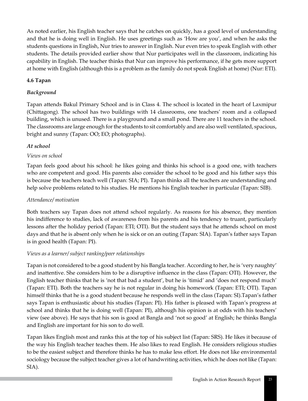As noted earlier, his English teacher says that he catches on quickly, has a good level of understanding and that he is doing well in English. He uses greetings such as 'How are you', and when he asks the students questions in English, Nur tries to answer in English. Nur even tries to speak English with other students. The details provided earlier show that Nur participates well in the classroom, indicating his capability in English. The teacher thinks that Nur can improve his performance, if he gets more support at home with English (although this is a problem as the family do not speak English at home) (Nur: ETI).

## **4.6 Tapan**

## *Background*

Tapan attends Bakul Primary School and is in Class 4. The school is located in the heart of Laxmipur (Chittagong). The school has two buildings with 14 classrooms, one teachers' room and a collapsed building, which is unused. There is a playground and a small pond. There are 11 teachers in the school. The classrooms are large enough for the students to sit comfortably and are also well ventilated, spacious, bright and sunny (Tapan: OO; EO; photographs).

## *At school*

## *Views on school*

Tapan feels good about his school: he likes going and thinks his school is a good one, with teachers who are competent and good. His parents also consider the school to be good and his father says this is because the teachers teach well (Tapan: SIA; PI). Tapan thinks all the teachers are understanding and help solve problems related to his studies. He mentions his English teacher in particular (Tapan: SIB).

## *Attendance/ motivation*

Both teachers say Tapan does not attend school regularly. As reasons for his absence, they mention his indifference to studies, lack of awareness from his parents and his tendency to truant, particularly lessons after the holiday period (Tapan: ETI; OTI). But the student says that he attends school on most days and that he is absent only when he is sick or on an outing (Tapan: SIA). Tapan's father says Tapan is in good health (Tapan: PI).

## *Views as a learner/ subject ranking/peer relationships*

Tapan is not considered to be a good student by his Bangla teacher. According to her, he is 'very naughty' and inattentive. She considers him to be a disruptive influence in the class (Tapan: OTI). However, the English teacher thinks that he is 'not that bad a student', but he is 'timid' and 'does not respond much' (Tapan: ETI). Both the teachers say he is not regular in doing his homework (Tapan: ETI; OTI). Tapan himself thinks that he is a good student because he responds well in the class (Tapan: SI).Tapan's father says Tapan is enthusiastic about his studies (Tapan: PI). His father is pleased with Tapan's progress at school and thinks that he is doing well (Tapan: PI), although his opinion is at odds with his teachers' view (see above). He says that his son is good at Bangla and 'not so good' at English; he thinks Bangla and English are important for his son to do well.

Tapan likes English most and ranks this at the top of his subject list (Tapan: SRS). He likes it because of the way his English teacher teaches them. He also likes to read English. He considers religious studies to be the easiest subject and therefore thinks he has to make less effort. He does not like environmental sociology because the subject teacher gives a lot of handwriting activities, which he does not like (Tapan: SIA).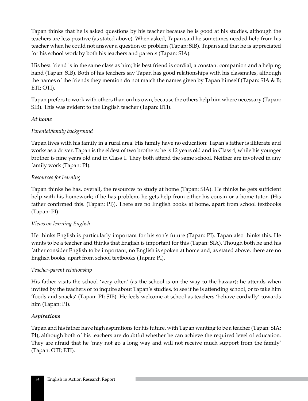Tapan thinks that he is asked questions by his teacher because he is good at his studies, although the teachers are less positive (as stated above). When asked, Tapan said he sometimes needed help from his teacher when he could not answer a question or problem (Tapan: SIB). Tapan said that he is appreciated for his school work by both his teachers and parents (Tapan: SIA).

His best friend is in the same class as him; his best friend is cordial, a constant companion and a helping hand (Tapan: SIB). Both of his teachers say Tapan has good relationships with his classmates, although the names of the friends they mention do not match the names given by Tapan himself (Tapan: SIA & B; ETI; OTI).

Tapan prefers to work with others than on his own, because the others help him where necessary (Tapan: SIB). This was evident to the English teacher (Tapan: ETI).

### *At home*

## *Parental/family background*

Tapan lives with his family in a rural area. His family have no education: Tapan's father is illiterate and works as a driver. Tapan is the eldest of two brothers: he is 12 years old and in Class 4, while his younger brother is nine years old and in Class 1. They both attend the same school. Neither are involved in any family work (Tapan: PI).

## *Resources for learning*

Tapan thinks he has, overall, the resources to study at home (Tapan: SIA). He thinks he gets sufficient help with his homework; if he has problem, he gets help from either his cousin or a home tutor. (His father confirmed this. (Tapan: PI)). There are no English books at home, apart from school textbooks (Tapan: PI).

## *Views on learning English*

He thinks English is particularly important for his son's future (Tapan: PI). Tapan also thinks this. He wants to be a teacher and thinks that English is important for this (Tapan: SIA). Though both he and his father consider English to be important, no English is spoken at home and, as stated above, there are no English books, apart from school textbooks (Tapan: PI).

#### *Teacher-parent relationship*

His father visits the school 'very often' (as the school is on the way to the bazaar); he attends when invited by the teachers or to inquire about Tapan's studies, to see if he is attending school, or to take him 'foods and snacks' (Tapan: PI; SIB). He feels welcome at school as teachers 'behave cordially' towards him (Tapan: PI).

#### *Aspirations*

Tapan and his father have high aspirations for his future, with Tapan wanting to be a teacher (Tapan: SIA; PI), although both of his teachers are doubtful whether he can achieve the required level of education. They are afraid that he 'may not go a long way and will not receive much support from the family' (Tapan: OTI; ETI).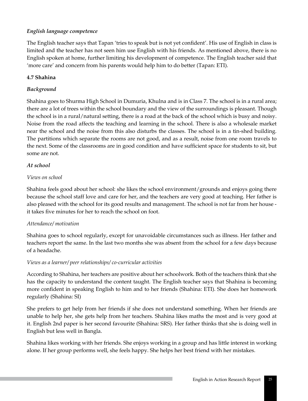# *English language competence*

The English teacher says that Tapan 'tries to speak but is not yet confident'. His use of English in class is limited and the teacher has not seen him use English with his friends. As mentioned above, there is no English spoken at home, further limiting his development of competence. The English teacher said that 'more care' and concern from his parents would help him to do better (Tapan: ETI).

### **4.7 Shahina**

### *Background*

Shahina goes to Shurma High School in Dumuria, Khulna and is in Class 7. The school is in a rural area; there are a lot of trees within the school boundary and the view of the surroundings is pleasant. Though the school is in a rural/natural setting, there is a road at the back of the school which is busy and noisy. Noise from the road affects the teaching and learning in the school. There is also a wholesale market near the school and the noise from this also disturbs the classes. The school is in a tin-shed building. The partitions which separate the rooms are not good, and as a result, noise from one room travels to the next. Some of the classrooms are in good condition and have sufficient space for students to sit, but some are not.

### *At school*

### *Views on school*

Shahina feels good about her school: she likes the school environment/grounds and enjoys going there because the school staff love and care for her, and the teachers are very good at teaching. Her father is also pleased with the school for its good results and management. The school is not far from her house it takes five minutes for her to reach the school on foot.

### *Attendance/ motivation*

Shahina goes to school regularly, except for unavoidable circumstances such as illness. Her father and teachers report the same. In the last two months she was absent from the school for a few days because of a headache.

### *Views as a learner/ peer relationships/ co-curricular activities*

According to Shahina, her teachers are positive about her schoolwork. Both of the teachers think that she has the capacity to understand the content taught. The English teacher says that Shahina is becoming more confident in speaking English to him and to her friends (Shahina: ETI). She does her homework regularly (Shahina: SI)

She prefers to get help from her friends if she does not understand something. When her friends are unable to help her, she gets help from her teachers. Shahina likes maths the most and is very good at it. English 2nd paper is her second favourite (Shahina: SRS). Her father thinks that she is doing well in English but less well in Bangla.

Shahina likes working with her friends. She enjoys working in a group and has little interest in working alone. If her group performs well, she feels happy. She helps her best friend with her mistakes.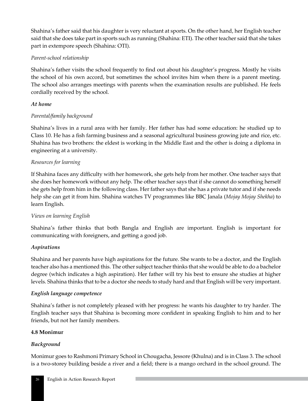Shahina's father said that his daughter is very reluctant at sports. On the other hand, her English teacher said that she does take part in sports such as running (Shahina: ETI). The other teacher said that she takes part in extempore speech (Shahina: OTI).

### *Parent-school relationship*

Shahina's father visits the school frequently to find out about his daughter's progress. Mostly he visits the school of his own accord, but sometimes the school invites him when there is a parent meeting. The school also arranges meetings with parents when the examination results are published. He feels cordially received by the school.

# *At home*

### *Parental/family background*

Shahina's lives in a rural area with her family. Her father has had some education: he studied up to Class 10. He has a fish farming business and a seasonal agricultural business growing jute and rice, etc. Shahina has two brothers: the eldest is working in the Middle East and the other is doing a diploma in engineering at a university.

### *Resources for learning*

If Shahina faces any difficulty with her homework, she gets help from her mother. One teacher says that she does her homework without any help. The other teacher says that if she cannot do something herself she gets help from him in the following class. Her father says that she has a private tutor and if she needs help she can get it from him. Shahina watches TV programmes like BBC Janala (*Mojay Mojay Shekha*) to learn English.

### *Views on learning English*

Shahina's father thinks that both Bangla and English are important. English is important for communicating with foreigners, and getting a good job.

### *Aspirations*

Shahina and her parents have high aspirations for the future. She wants to be a doctor, and the English teacher also has a mentioned this. The other subject teacher thinks that she would be able to do a bachelor degree (which indicates a high aspiration). Her father will try his best to ensure she studies at higher levels. Shahina thinks that to be a doctor she needs to study hard and that English will be very important.

### *English language competence*

Shahina's father is not completely pleased with her progress: he wants his daughter to try harder. The English teacher says that Shahina is becoming more confident in speaking English to him and to her friends, but not her family members.

### **4.8 Monimur**

### *Background*

Monimur goes to Rashmoni Primary School in Chougacha, Jessore (Khulna) and is in Class 3. The school is a two-storey building beside a river and a field; there is a mango orchard in the school ground. The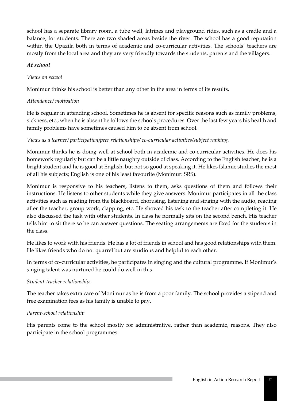school has a separate library room, a tube well, latrines and playground rides, such as a cradle and a balance, for students. There are two shaded areas beside the river. The school has a good reputation within the Upazila both in terms of academic and co-curricular activities. The schools' teachers are mostly from the local area and they are very friendly towards the students, parents and the villagers.

### *At school*

# *Views on school*

Monimur thinks his school is better than any other in the area in terms of its results.

### *Attendance/ motivation*

He is regular in attending school. Sometimes he is absent for specific reasons such as family problems, sickness, etc.; when he is absent he follows the schools procedures. Over the last few years his health and family problems have sometimes caused him to be absent from school.

### *Views as a learner/ participation/peer relationships/ co-curricular activities/subject ranking.*

Monimur thinks he is doing well at school both in academic and co-curricular activities. He does his homework regularly but can be a little naughty outside of class. According to the English teacher, he is a bright student and he is good at English, but not so good at speaking it. He likes Islamic studies the most of all his subjects; English is one of his least favourite (Monimur: SRS).

Monimur is responsive to his teachers, listens to them, asks questions of them and follows their instructions. He listens to other students while they give answers. Monimur participates in all the class activities such as reading from the blackboard, chorusing, listening and singing with the audio, reading after the teacher, group work, clapping, etc. He showed his task to the teacher after completing it. He also discussed the task with other students. In class he normally sits on the second bench. His teacher tells him to sit there so he can answer questions. The seating arrangements are fixed for the students in the class.

He likes to work with his friends. He has a lot of friends in school and has good relationships with them. He likes friends who do not quarrel but are studious and helpful to each other.

In terms of co-curricular activities, he participates in singing and the cultural programme. If Monimur's singing talent was nurtured he could do well in this.

# *Student-teacher relationships*

The teacher takes extra care of Monimur as he is from a poor family. The school provides a stipend and free examination fees as his family is unable to pay.

# *Parent-school relationship*

His parents come to the school mostly for administrative, rather than academic, reasons. They also participate in the school programmes.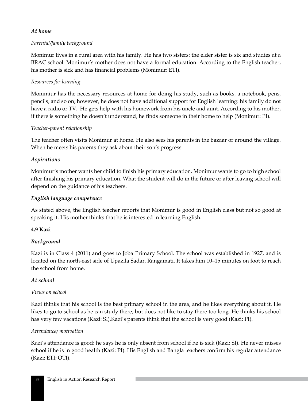### *At home*

# *Parental/family background*

Monimur lives in a rural area with his family. He has two sisters: the elder sister is six and studies at a BRAC school. Monimur's mother does not have a formal education. According to the English teacher, his mother is sick and has financial problems (Monimur: ETI).

# *Resources for learning*

Monimiur has the necessary resources at home for doing his study, such as books, a notebook, pens, pencils, and so on; however, he does not have additional support for English learning: his family do not have a radio or TV. He gets help with his homework from his uncle and aunt. According to his mother, if there is something he doesn't understand, he finds someone in their home to help (Monimur: PI).

### *Teacher-parent relationship*

The teacher often visits Monimur at home. He also sees his parents in the bazaar or around the village. When he meets his parents they ask about their son's progress.

### *Aspirations*

Monimur's mother wants her child to finish his primary education. Monimur wants to go to high school after finishing his primary education. What the student will do in the future or after leaving school will depend on the guidance of his teachers.

### *English language competence*

As stated above, the English teacher reports that Monimur is good in English class but not so good at speaking it. His mother thinks that he is interested in learning English.

### **4.9 Kazi**

### *Background*

Kazi is in Class 4 (2011) and goes to Joba Primary School. The school was established in 1927, and is located on the north-east side of Upazila Sadar, Rangamati. It takes him 10–15 minutes on foot to reach the school from home.

### *At school*

### *Views on school*

Kazi thinks that his school is the best primary school in the area, and he likes everything about it. He likes to go to school as he can study there, but does not like to stay there too long. He thinks his school has very few vacations (Kazi: SI).Kazi's parents think that the school is very good (Kazi: PI).

### *Attendance/ motivation*

Kazi's attendance is good: he says he is only absent from school if he is sick (Kazi: SI). He never misses school if he is in good health (Kazi: PI). His English and Bangla teachers confirm his regular attendance (Kazi: ETI; OTI).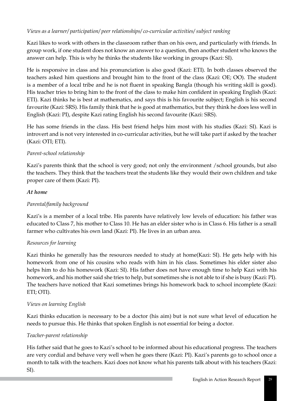# *Views as a learner/ participation/ peer relationships/ co-curricular activities/ subject ranking*

Kazi likes to work with others in the classroom rather than on his own, and particularly with friends. In group work, if one student does not know an answer to a question, then another student who knows the answer can help. This is why he thinks the students like working in groups (Kazi: SI).

He is responsive in class and his pronunciation is also good (Kazi: ETI). In both classes observed the teachers asked him questions and brought him to the front of the class (Kazi: OE; OO). The student is a member of a local tribe and he is not fluent in speaking Bangla (though his writing skill is good). His teacher tries to bring him to the front of the class to make him confident in speaking English (Kazi: ETI). Kazi thinks he is best at mathematics, and says this is his favourite subject; English is his second favourite (Kazi: SRS). His family think that he is good at mathematics, but they think he does less well in English (Kazi: PI), despite Kazi rating English his second favourite (Kazi: SRS).

He has some friends in the class. His best friend helps him most with his studies (Kazi: SI). Kazi is introvert and is not very interested in co-curricular activities, but he will take part if asked by the teacher (Kazi: OTI; ETI).

# *Parent-school relationship*

Kazi's parents think that the school is very good; not only the environment /school grounds, but also the teachers. They think that the teachers treat the students like they would their own children and take proper care of them (Kazi: PI).

### *At home*

# *Parental/family background*

Kazi's is a member of a local tribe. His parents have relatively low levels of education: his father was educated to Class 7, his mother to Class 10. He has an elder sister who is in Class 6. His father is a small farmer who cultivates his own land (Kazi: PI). He lives in an urban area.

# *Resources for learning*

Kazi thinks he generally has the resources needed to study at home(Kazi: SI). He gets help with his homework from one of his cousins who reads with him in his class. Sometimes his elder sister also helps him to do his homework (Kazi: SI). His father does not have enough time to help Kazi with his homework, and his mother said she tries to help, but sometimes she is not able to if she is busy (Kazi: PI). The teachers have noticed that Kazi sometimes brings his homework back to school incomplete (Kazi: ETI; OTI).

# *Views on learning English*

Kazi thinks education is necessary to be a doctor (his aim) but is not sure what level of education he needs to pursue this. He thinks that spoken English is not essential for being a doctor.

### *Teacher-parent relationship*

His father said that he goes to Kazi's school to be informed about his educational progress. The teachers are very cordial and behave very well when he goes there (Kazi: PI). Kazi's parents go to school once a month to talk with the teachers. Kazi does not know what his parents talk about with his teachers (Kazi: SI).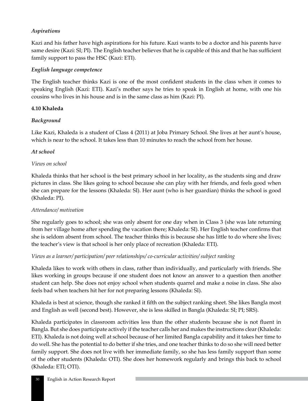# *Aspirations*

Kazi and his father have high aspirations for his future. Kazi wants to be a doctor and his parents have same desire (Kazi: SI; PI). The English teacher believes that he is capable of this and that he has sufficient family support to pass the HSC (Kazi: ETI).

### *English language competence*

The English teacher thinks Kazi is one of the most confident students in the class when it comes to speaking English (Kazi: ETI). Kazi's mother says he tries to speak in English at home, with one his cousins who lives in his house and is in the same class as him (Kazi: PI).

### **4.10 Khaleda**

### *Background*

Like Kazi, Khaleda is a student of Class 4 (2011) at Joba Primary School. She lives at her aunt's house, which is near to the school. It takes less than 10 minutes to reach the school from her house.

### *At school*

### *Views on school*

Khaleda thinks that her school is the best primary school in her locality, as the students sing and draw pictures in class. She likes going to school because she can play with her friends, and feels good when she can prepare for the lessons (Khaleda: SI). Her aunt (who is her guardian) thinks the school is good (Khaleda: PI).

### *Attendance/ motivation*

She regularly goes to school; she was only absent for one day when in Class 3 (she was late returning from her village home after spending the vacation there; Khaleda: SI). Her English teacher confirms that she is seldom absent from school. The teacher thinks this is because she has little to do where she lives; the teacher's view is that school is her only place of recreation (Khaleda: ETI).

### *Views as a learner/ participation/ peer relationships/ co-curricular activities/ subject ranking*

Khaleda likes to work with others in class, rather than individually, and particularly with friends. She likes working in groups because if one student does not know an answer to a question then another student can help. She does not enjoy school when students quarrel and make a noise in class. She also feels bad when teachers hit her for not preparing lessons (Khaleda: SI).

Khaleda is best at science, though she ranked it fifth on the subject ranking sheet. She likes Bangla most and English as well (second best). However, she is less skilled in Bangla (Khaleda: SI; PI; SRS).

Khaleda participates in classroom activities less than the other students because she is not fluent in Bangla. But she does participate actively if the teacher calls her and makes the instructions clear (Khaleda: ETI). Khaleda is not doing well at school because of her limited Bangla capability and it takes her time to do well. She has the potential to do better if she tries, and one teacher thinks to do so she will need better family support. She does not live with her immediate family, so she has less family support than some of the other students (Khaleda: OTI). She does her homework regularly and brings this back to school (Khaleda: ETI; OTI).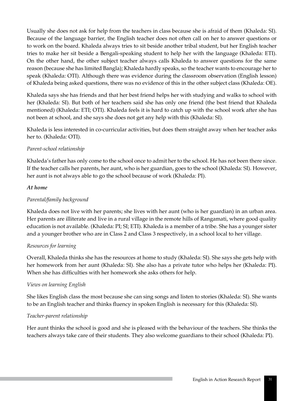Usually she does not ask for help from the teachers in class because she is afraid of them (Khaleda: SI). Because of the language barrier, the English teacher does not often call on her to answer questions or to work on the board. Khaleda always tries to sit beside another tribal student, but her English teacher tries to make her sit beside a Bengali-speaking student to help her with the language (Khaleda: ETI). On the other hand, the other subject teacher always calls Khaleda to answer questions for the same reason (because she has limited Bangla); Khaleda hardly speaks, so the teacher wants to encourage her to speak (Khaleda: OTI). Although there was evidence during the classroom observation (English lesson) of Khaleda being asked questions, there was no evidence of this in the other subject class (Khaleda: OE).

Khaleda says she has friends and that her best friend helps her with studying and walks to school with her (Khaleda: SI). But both of her teachers said she has only one friend (the best friend that Khaleda mentioned) (Khaleda: ETI; OTI). Khaleda feels it is hard to catch up with the school work after she has not been at school, and she says she does not get any help with this (Khaleda: SI).

Khaleda is less interested in co-curricular activities, but does them straight away when her teacher asks her to. (Khaleda: OTI).

### *Parent-school relationship*

Khaleda's father has only come to the school once to admit her to the school. He has not been there since. If the teacher calls her parents, her aunt, who is her guardian, goes to the school (Khaleda: SI). However, her aunt is not always able to go the school because of work (Khaleda: PI).

### *At home*

# *Parental/family background*

Khaleda does not live with her parents; she lives with her aunt (who is her guardian) in an urban area. Her parents are illiterate and live in a rural village in the remote hills of Rangamati, where good quality education is not available. (Khaleda: PI; SI; ETI). Khaleda is a member of a tribe. She has a younger sister and a younger brother who are in Class 2 and Class 3 respectively, in a school local to her village.

### *Resources for learning*

Overall, Khaleda thinks she has the resources at home to study (Khaleda: SI). She says she gets help with her homework from her aunt (Khaleda: SI). She also has a private tutor who helps her (Khaleda: PI). When she has difficulties with her homework she asks others for help.

### *Views on learning English*

She likes English class the most because she can sing songs and listen to stories (Khaleda: SI). She wants to be an English teacher and thinks fluency in spoken English is necessary for this (Khaleda: SI).

# *Teacher-parent relationship*

Her aunt thinks the school is good and she is pleased with the behaviour of the teachers. She thinks the teachers always take care of their students. They also welcome guardians to their school (Khaleda: PI).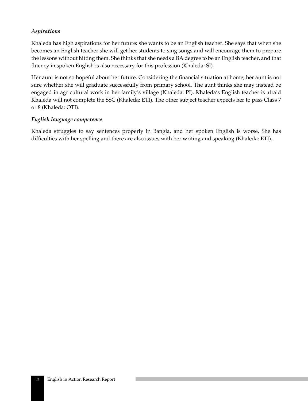### *Aspirations*

Khaleda has high aspirations for her future: she wants to be an English teacher. She says that when she becomes an English teacher she will get her students to sing songs and will encourage them to prepare the lessons without hitting them. She thinks that she needs a BA degree to be an English teacher, and that fluency in spoken English is also necessary for this profession (Khaleda: SI).

Her aunt is not so hopeful about her future. Considering the financial situation at home, her aunt is not sure whether she will graduate successfully from primary school. The aunt thinks she may instead be engaged in agricultural work in her family's village (Khaleda: PI). Khaleda's English teacher is afraid Khaleda will not complete the SSC (Khaleda: ETI). The other subject teacher expects her to pass Class 7 or 8 (Khaleda: OTI).

### *English language competence*

Khaleda struggles to say sentences properly in Bangla, and her spoken English is worse. She has difficulties with her spelling and there are also issues with her writing and speaking (Khaleda: ETI).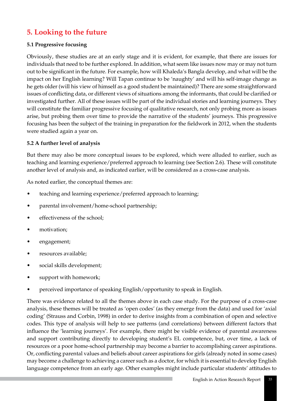# **5. Looking to the future**

### **5.1 Progressive focusing**

Obviously, these studies are at an early stage and it is evident, for example, that there are issues for individuals that need to be further explored. In addition, what seem like issues now may or may not turn out to be significant in the future. For example, how will Khaleda's Bangla develop, and what will be the impact on her English learning? Will Tapan continue to be 'naughty' and will his self-image change as he gets older (will his view of himself as a good student be maintained)? There are some straightforward issues of conflicting data, or different views of situations among the informants, that could be clarified or investigated further. All of these issues will be part of the individual stories and learning journeys. They will constitute the familiar progressive focusing of qualitative research, not only probing more as issues arise, but probing them over time to provide the narrative of the students' journeys. This progressive focusing has been the subject of the training in preparation for the fieldwork in 2012, when the students were studied again a year on.

### **5.2 A further level of analysis**

But there may also be more conceptual issues to be explored, which were alluded to earlier, such as teaching and learning experience/preferred approach to learning (see Section 2.6). These will constitute another level of analysis and, as indicated earlier, will be considered as a cross-case analysis.

As noted earlier, the conceptual themes are:

- teaching and learning experience/preferred approach to learning;
- parental involvement/home-school partnership;
- effectiveness of the school;
- motivation;
- engagement;
- resources available;
- social skills development;
- support with homework;
- perceived importance of speaking English/opportunity to speak in English.

There was evidence related to all the themes above in each case study. For the purpose of a cross-case analysis, these themes will be treated as 'open codes' (as they emerge from the data) and used for 'axial coding' (Strauss and Corbin, 1998) in order to derive insights from a combination of open and selective codes. This type of analysis will help to see patterns (and correlations) between different factors that influence the 'learning journeys'. For example, there might be visible evidence of parental awareness and support contributing directly to developing student's EL competence, but, over time, a lack of resources or a poor home-school partnership may become a barrier to accomplishing career aspirations. Or, conflicting parental values and beliefs about career aspirations for girls (already noted in some cases) may become a challenge to achieving a career such as a doctor, for which it is essential to develop English language competence from an early age. Other examples might include particular students' attitudes to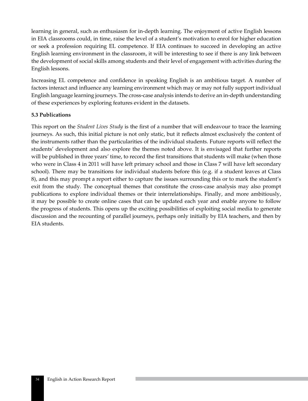learning in general, such as enthusiasm for in-depth learning. The enjoyment of active English lessons in EIA classrooms could, in time, raise the level of a student's motivation to enrol for higher education or seek a profession requiring EL competence. If EIA continues to succeed in developing an active English learning environment in the classroom, it will be interesting to see if there is any link between the development of social skills among students and their level of engagement with activities during the English lessons.

Increasing EL competence and confidence in speaking English is an ambitious target. A number of factors interact and influence any learning environment which may or may not fully support individual English language learning journeys. The cross-case analysis intends to derive an in-depth understanding of these experiences by exploring features evident in the datasets.

### **5.3 Publications**

This report on the *Student Lives Study* is the first of a number that will endeavour to trace the learning journeys. As such, this initial picture is not only static, but it reflects almost exclusively the content of the instruments rather than the particularities of the individual students. Future reports will reflect the students' development and also explore the themes noted above. It is envisaged that further reports will be published in three years' time, to record the first transitions that students will make (when those who were in Class 4 in 2011 will have left primary school and those in Class 7 will have left secondary school). There may be transitions for individual students before this (e.g. if a student leaves at Class 8), and this may prompt a report either to capture the issues surrounding this or to mark the student's exit from the study. The conceptual themes that constitute the cross-case analysis may also prompt publications to explore individual themes or their interrelationships. Finally, and more ambitiously, it may be possible to create online cases that can be updated each year and enable anyone to follow the progress of students. This opens up the exciting possibilities of exploiting social media to generate discussion and the recounting of parallel journeys, perhaps only initially by EIA teachers, and then by EIA students.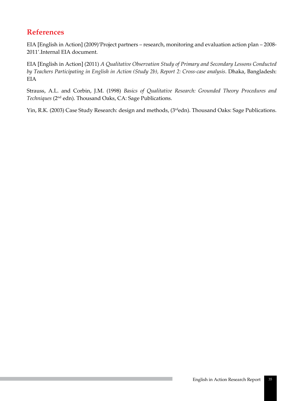# **References**

EIA [English in Action] (2009)'Project partners – research, monitoring and evaluation action plan – 2008- 2011'.Internal EIA document.

EIA [English in Action] (2011) *A Qualitative Observation Study of Primary and Secondary Lessons Conducted by Teachers Participating in English in Action (Study 2b), Report 2: Cross-case analysis*. Dhaka, Bangladesh: EIA

Strauss, A.L. and Corbin, J.M. (1998) *Basics of Qualitative Research: Grounded Theory Procedures and Techniques* (2nd edn). Thousand Oaks, CA: Sage Publications.

Yin, R.K. (2003) Case Study Research: design and methods, (3<sup>rd</sup>edn). Thousand Oaks: Sage Publications.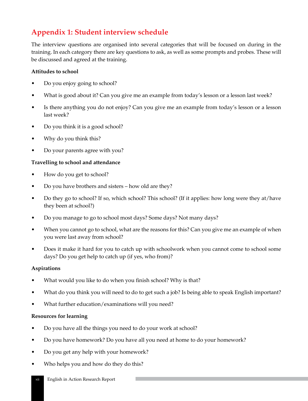# **Appendix 1: Student interview schedule**

The interview questions are organised into several categories that will be focused on during in the training. In each category there are key questions to ask, as well as some prompts and probes. These will be discussed and agreed at the training.

### **Attitudes to school**

- Do you enjoy going to school?
- What is good about it? Can you give me an example from today's lesson or a lesson last week?
- Is there anything you do not enjoy? Can you give me an example from today's lesson or a lesson last week?
- Do you think it is a good school?
- Why do you think this?
- Do your parents agree with you?

### **Travelling to school and attendance**

- How do you get to school?
- Do you have brothers and sisters how old are they?
- Do they go to school? If so, which school? This school? (If it applies: how long were they at/have they been at school?)
- Do you manage to go to school most days? Some days? Not many days?
- When you cannot go to school, what are the reasons for this? Can you give me an example of when you were last away from school?
- Does it make it hard for you to catch up with schoolwork when you cannot come to school some days? Do you get help to catch up (if yes, who from)?

### **Aspirations**

- What would you like to do when you finish school? Why is that?
- What do you think you will need to do to get such a job? Is being able to speak English important?
- What further education/examinations will you need?

### **Resources for learning**

- Do you have all the things you need to do your work at school?
- Do you have homework? Do you have all you need at home to do your homework?
- Do you get any help with your homework?
- Who helps you and how do they do this?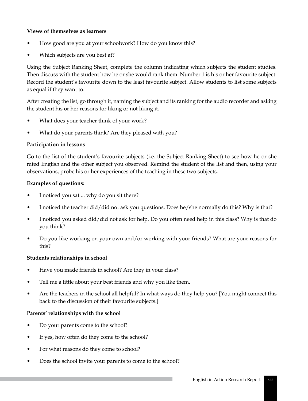### **Views of themselves as learners**

- How good are you at your schoolwork? How do you know this?
- Which subjects are you best at?

Using the Subject Ranking Sheet, complete the column indicating which subjects the student studies. Then discuss with the student how he or she would rank them. Number 1 is his or her favourite subject. Record the student's favourite down to the least favourite subject. Allow students to list some subjects as equal if they want to.

After creating the list, go through it, naming the subject and its ranking for the audio recorder and asking the student his or her reasons for liking or not liking it.

- What does your teacher think of your work?
- What do your parents think? Are they pleased with you?

### **Participation in lessons**

Go to the list of the student's favourite subjects (i.e. the Subject Ranking Sheet) to see how he or she rated English and the other subject you observed. Remind the student of the list and then, using your observations, probe his or her experiences of the teaching in these two subjects.

### **Examples of questions:**

- I noticed you sat ... why do you sit there?
- I noticed the teacher did/did not ask you questions. Does he/she normally do this? Why is that?
- I noticed you asked did/did not ask for help. Do you often need help in this class? Why is that do you think?
- Do you like working on your own and/or working with your friends? What are your reasons for this?

#### **Students relationships in school**

- Have you made friends in school? Are they in your class?
- Tell me a little about your best friends and why you like them.
- Are the teachers in the school all helpful? In what ways do they help you? [You might connect this back to the discussion of their favourite subjects.]

#### **Parents' relationships with the school**

- Do your parents come to the school?
- If yes, how often do they come to the school?
- For what reasons do they come to school?
- Does the school invite your parents to come to the school?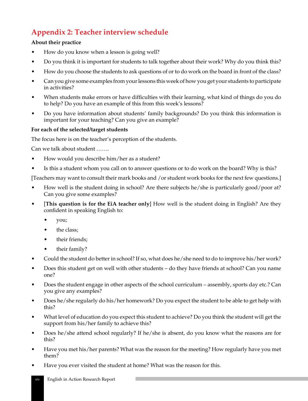# **Appendix 2: Teacher interview schedule**

# **About their practice**

- How do you know when a lesson is going well?
- Do you think it is important for students to talk together about their work? Why do you think this?
- How do you choose the students to ask questions of or to do work on the board in front of the class?
- Can you give some examples from your lessons this week of how you get your students to participate in activities?
- When students make errors or have difficulties with their learning, what kind of things do you do to help? Do you have an example of this from this week's lessons?
- Do you have information about students' family backgrounds? Do you think this information is important for your teaching? Can you give an example?

### **For each of the selected/target students**

The focus here is on the teacher's perception of the students.

Can we talk about student …….

- How would you describe him/her as a student?
- Is this a student whom you call on to answer questions or to do work on the board? Why is this?

[Teachers may want to consult their mark books and /or student work books for the next few questions.]

- How well is the student doing in school? Are there subjects he/she is particularly good/poor at? Can you give some examples?
- [**This question is for the EiA teacher only**] How well is the student doing in English? Are they confident in speaking English to:
	- you;
	- the class;
	- their friends;
	- their family?
- Could the student do better in school? If so, what does he/she need to do to improve his/her work?
- Does this student get on well with other students do they have friends at school? Can you name one?
- Does the student engage in other aspects of the school curriculum assembly, sports day etc.? Can you give any examples?
- Does he/she regularly do his/her homework? Do you expect the student to be able to get help with this?
- What level of education do you expect this student to achieve? Do you think the student will get the support from his/her family to achieve this?
- Does he/she attend school regularly? If he/she is absent, do you know what the reasons are for this?
- Have you met his/her parents? What was the reason for the meeting? How regularly have you met them?
- Have you ever visited the student at home? What was the reason for this.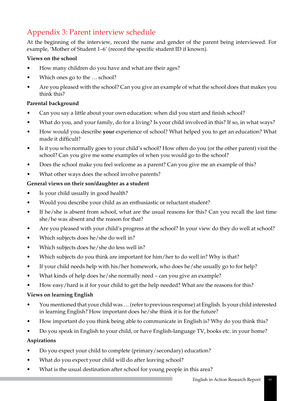# Appendix 3: Parent interview schedule

At the beginning of the interview, record the name and gender of the parent being interviewed. For example, 'Mother of Student 1–6' (record the specific student ID if known).

### **Views on the school**

- How many children do you have and what are their ages?
- Which ones go to the ... school?
- Are you pleased with the school? Can you give an example of what the school does that makes you think this?

### **Parental background**

- Can you say a little about your own education: when did you start and finish school?
- What do you, and your family, do for a living? Is your child involved in this? If so, in what ways?
- How would you describe **your** experience of school? What helped you to get an education? What made it difficult?
- Is it you who normally goes to your child's school? How often do you (or the other parent) visit the school? Can you give me some examples of when you would go to the school?
- Does the school make you feel welcome as a parent? Can you give me an example of this?
- What other ways does the school involve parents?

### **General views on their son/daughter as a student**

- Is your child usually in good health?
- Would you describe your child as an enthusiastic or reluctant student?
- If he/she is absent from school, what are the usual reasons for this? Can you recall the last time she/he was absent and the reason for that?
- Are you pleased with your child's progress at the school? In your view do they do well at school?
- Which subjects does he/she do well in?
- Which subjects does he/she do less well in?
- Which subjects do you think are important for him/her to do well in? Why is that?
- If your child needs help with his/her homework, who does he/she usually go to for help?
- What kinds of help does he/she normally need can you give an example?
- How easy/hard is it for your child to get the help needed? What are the reasons for this?

### **Views on learning English**

- You mentioned that your child was … (refer to previous response) at English. Is your child interested in learning English? How important does he/she think it is for the future?
- How important do you think being able to communicate in English is? Why do you think this?
- Do you speak in English to your child, or have English-language TV, books etc. in your home?

### **Aspirations**

- Do you expect your child to complete (primary/secondary) education?
- What do you expect your child will do after leaving school?
- What is the usual destination after school for young people in this area?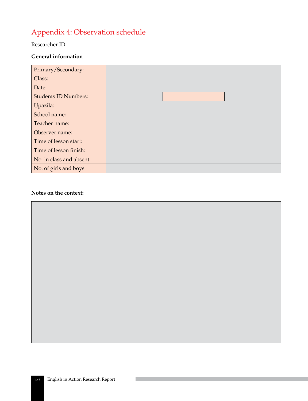# Appendix 4: Observation schedule

### Researcher ID:

### **General information**

| Primary/Secondary:          |  |  |
|-----------------------------|--|--|
| Class:                      |  |  |
| Date:                       |  |  |
| <b>Students ID Numbers:</b> |  |  |
| Upazila:                    |  |  |
| School name:                |  |  |
| Teacher name:               |  |  |
| Observer name:              |  |  |
| Time of lesson start:       |  |  |
| Time of lesson finish:      |  |  |
| No. in class and absent     |  |  |
| No. of girls and boys       |  |  |

#### **Notes on the context:**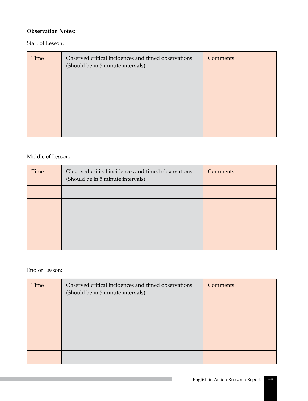### **Observation Notes:**

### Start of Lesson:

| Time | Observed critical incidences and timed observations<br>(Should be in 5 minute intervals) | Comments |
|------|------------------------------------------------------------------------------------------|----------|
|      |                                                                                          |          |
|      |                                                                                          |          |
|      |                                                                                          |          |
|      |                                                                                          |          |
|      |                                                                                          |          |

# Middle of Lesson:

| Time | Observed critical incidences and timed observations<br>(Should be in 5 minute intervals) | Comments |
|------|------------------------------------------------------------------------------------------|----------|
|      |                                                                                          |          |
|      |                                                                                          |          |
|      |                                                                                          |          |
|      |                                                                                          |          |
|      |                                                                                          |          |

# End of Lesson:

| Time | Observed critical incidences and timed observations<br>(Should be in 5 minute intervals) | Comments |
|------|------------------------------------------------------------------------------------------|----------|
|      |                                                                                          |          |
|      |                                                                                          |          |
|      |                                                                                          |          |
|      |                                                                                          |          |
|      |                                                                                          |          |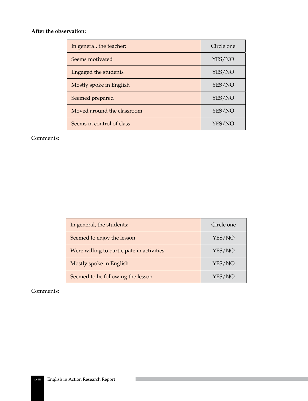### **After the observation:**

| In general, the teacher:    | Circle one |
|-----------------------------|------------|
| Seems motivated             | YES/NO     |
| <b>Engaged the students</b> | YES/NO     |
| Mostly spoke in English     | YES/NO     |
| Seemed prepared             | YES/NO     |
| Moved around the classroom  | YES/NO     |
| Seems in control of class   | YES/NO     |

#### Comments:

| In general, the students:                 | Circle one |
|-------------------------------------------|------------|
| Seemed to enjoy the lesson                | YES/NO     |
| Were willing to participate in activities | YES/NO     |
| Mostly spoke in English                   | YES/NO     |
| Seemed to be following the lesson         | YES/NO     |

#### Comments: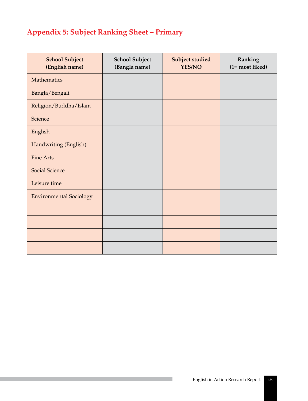# **Appendix 5: Subject Ranking Sheet – Primary**

| <b>School Subject</b><br>(English name) | <b>School Subject</b><br>(Bangla name) | Subject studied<br><b>YES/NO</b> | Ranking<br>(1= most liked) |
|-----------------------------------------|----------------------------------------|----------------------------------|----------------------------|
| Mathematics                             |                                        |                                  |                            |
| Bangla/Bengali                          |                                        |                                  |                            |
| Religion/Buddha/Islam                   |                                        |                                  |                            |
| Science                                 |                                        |                                  |                            |
| English                                 |                                        |                                  |                            |
| Handwriting (English)                   |                                        |                                  |                            |
| <b>Fine Arts</b>                        |                                        |                                  |                            |
| <b>Social Science</b>                   |                                        |                                  |                            |
| Leisure time                            |                                        |                                  |                            |
| <b>Environmental Sociology</b>          |                                        |                                  |                            |
|                                         |                                        |                                  |                            |
|                                         |                                        |                                  |                            |
|                                         |                                        |                                  |                            |
|                                         |                                        |                                  |                            |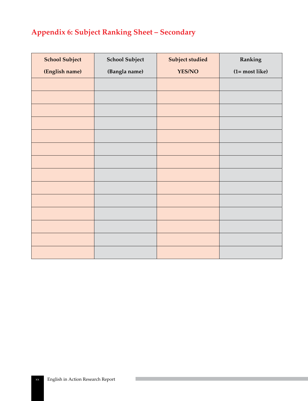# **Appendix 6: Subject Ranking Sheet – Secondary**

| <b>School Subject</b> | <b>School Subject</b> | Subject studied | Ranking         |
|-----------------------|-----------------------|-----------------|-----------------|
| (English name)        | (Bangla name)         | <b>YES/NO</b>   | $(1=most like)$ |
|                       |                       |                 |                 |
|                       |                       |                 |                 |
|                       |                       |                 |                 |
|                       |                       |                 |                 |
|                       |                       |                 |                 |
|                       |                       |                 |                 |
|                       |                       |                 |                 |
|                       |                       |                 |                 |
|                       |                       |                 |                 |
|                       |                       |                 |                 |
|                       |                       |                 |                 |
|                       |                       |                 |                 |
|                       |                       |                 |                 |
|                       |                       |                 |                 |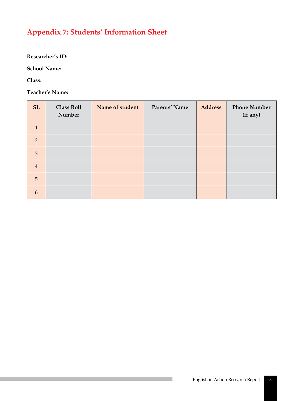# **Appendix 7: Students' Information Sheet**

**Researcher's ID:**

**School Name:**

**Class:** 

**Teacher's Name:**

| <b>SL</b>       | <b>Class Roll</b><br>Number | Name of student | Parents' Name | <b>Address</b> | <b>Phone Number</b><br>(if any) |
|-----------------|-----------------------------|-----------------|---------------|----------------|---------------------------------|
| $\mathbf{1}$    |                             |                 |               |                |                                 |
| 2               |                             |                 |               |                |                                 |
| $\overline{3}$  |                             |                 |               |                |                                 |
| $\overline{4}$  |                             |                 |               |                |                                 |
| $5\overline{)}$ |                             |                 |               |                |                                 |
| 6               |                             |                 |               |                |                                 |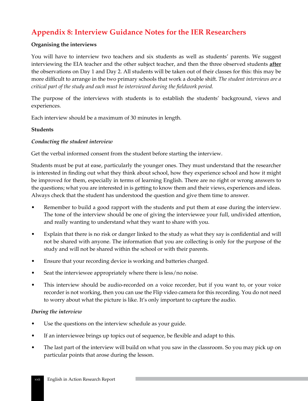# **Appendix 8: Interview Guidance Notes for the IER Researchers**

#### **Organising the interviews**

You will have to interview two teachers and six students as well as students' parents. We suggest interviewing the EIA teacher and the other subject teacher, and then the three observed students **after** the observations on Day 1 and Day 2. All students will be taken out of their classes for this: this may be more difficult to arrange in the two primary schools that work a double shift. *The student interviews are a critical part of the study and each must be interviewed during the fieldwork period.*

The purpose of the interviews with students is to establish the students' background, views and experiences.

Each interview should be a maximum of 30 minutes in length.

#### **Students**

### *Conducting the student interview*

Get the verbal informed consent from the student before starting the interview.

Students must be put at ease, particularly the younger ones. They must understand that the researcher is interested in finding out what they think about school, how they experience school and how it might be improved for them, especially in terms of learning English. There are no right or wrong answers to the questions; what you are interested in is getting to know them and their views, experiences and ideas. Always check that the student has understood the question and give them time to answer.

- Remember to build a good rapport with the students and put them at ease during the interview. The tone of the interview should be one of giving the interviewee your full, undivided attention, and really wanting to understand what they want to share with you.
- Explain that there is no risk or danger linked to the study as what they say is confidential and will not be shared with anyone. The information that you are collecting is only for the purpose of the study and will not be shared within the school or with their parents.
- Ensure that your recording device is working and batteries charged.
- Seat the interviewee appropriately where there is less/no noise.
- This interview should be audio-recorded on a voice recorder, but if you want to, or your voice recorder is not working, then you can use the Flip video camera for this recording. You do not need to worry about what the picture is like. It's only important to capture the audio.

#### *During the interview*

- Use the questions on the interview schedule as your guide.
- If an interviewee brings up topics out of sequence, be flexible and adapt to this.
- The last part of the interview will build on what you saw in the classroom. So you may pick up on particular points that arose during the lesson.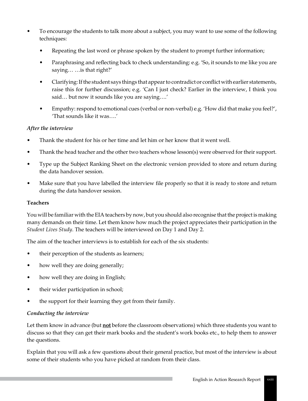- To encourage the students to talk more about a subject, you may want to use some of the following techniques:
	- Repeating the last word or phrase spoken by the student to prompt further information;
	- Paraphrasing and reflecting back to check understanding: e.g. 'So, it sounds to me like you are saying… …is that right?'
	- Clarifying: If the student says things that appear to contradict or conflict with earlier statements, raise this for further discussion; e.g. 'Can I just check? Earlier in the interview, I think you said… but now it sounds like you are saying….'
	- Empathy: respond to emotional cues (verbal or non-verbal) e.g. 'How did that make you feel?', 'That sounds like it was….'

# *After the interview*

- Thank the student for his or her time and let him or her know that it went well.
- Thank the head teacher and the other two teachers whose lesson(s) were observed for their support.
- Type up the Subject Ranking Sheet on the electronic version provided to store and return during the data handover session.
- Make sure that you have labelled the interview file properly so that it is ready to store and return during the data handover session.

# **Teachers**

You will be familiar with the EIA teachers by now, but you should also recognise that the project is making many demands on their time. Let them know how much the project appreciates their participation in the *Student Lives Study*. The teachers will be interviewed on Day 1 and Day 2.

The aim of the teacher interviews is to establish for each of the six students:

- their perception of the students as learners;
- how well they are doing generally;
- how well they are doing in English;
- their wider participation in school;
- the support for their learning they get from their family.

# *Conducting the interview*

Let them know in advance (but **not** before the classroom observations) which three students you want to discuss so that they can get their mark books and the student's work books etc., to help them to answer the questions.

Explain that you will ask a few questions about their general practice, but most of the interview is about some of their students who you have picked at random from their class.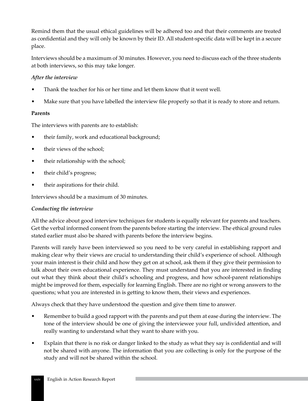Remind them that the usual ethical guidelines will be adhered too and that their comments are treated as confidential and they will only be known by their ID. All student-specific data will be kept in a secure place.

Interviews should be a maximum of 30 minutes. However, you need to discuss each of the three students at both interviews, so this may take longer.

### *After the interview*

- Thank the teacher for his or her time and let them know that it went well.
- Make sure that you have labelled the interview file properly so that it is ready to store and return.

### **Parents**

The interviews with parents are to establish:

- their family, work and educational background;
- their views of the school;
- their relationship with the school;
- their child's progress;
- their aspirations for their child.

Interviews should be a maximum of 30 minutes.

### *Conducting the interview*

All the advice about good interview techniques for students is equally relevant for parents and teachers. Get the verbal informed consent from the parents before starting the interview. The ethical ground rules stated earlier must also be shared with parents before the interview begins.

Parents will rarely have been interviewed so you need to be very careful in establishing rapport and making clear why their views are crucial to understanding their child's experience of school. Although your main interest is their child and how they get on at school, ask them if they give their permission to talk about their own educational experience. They must understand that you are interested in finding out what they think about their child's schooling and progress, and how school-parent relationships might be improved for them, especially for learning English. There are no right or wrong answers to the questions; what you are interested in is getting to know them, their views and experiences.

Always check that they have understood the question and give them time to answer.

- Remember to build a good rapport with the parents and put them at ease during the interview. The tone of the interview should be one of giving the interviewee your full, undivided attention, and really wanting to understand what they want to share with you.
- Explain that there is no risk or danger linked to the study as what they say is confidential and will not be shared with anyone. The information that you are collecting is only for the purpose of the study and will not be shared within the school.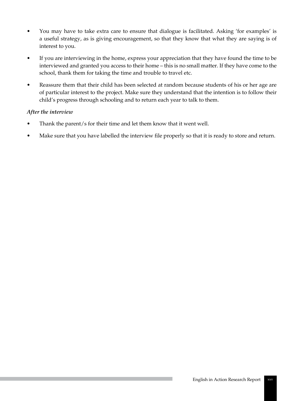- You may have to take extra care to ensure that dialogue is facilitated. Asking 'for examples' is a useful strategy, as is giving encouragement, so that they know that what they are saying is of interest to you.
- If you are interviewing in the home, express your appreciation that they have found the time to be interviewed and granted you access to their home – this is no small matter. If they have come to the school, thank them for taking the time and trouble to travel etc.
- Reassure them that their child has been selected at random because students of his or her age are of particular interest to the project. Make sure they understand that the intention is to follow their child's progress through schooling and to return each year to talk to them.

# *After the interview*

- Thank the parent/s for their time and let them know that it went well.
- Make sure that you have labelled the interview file properly so that it is ready to store and return.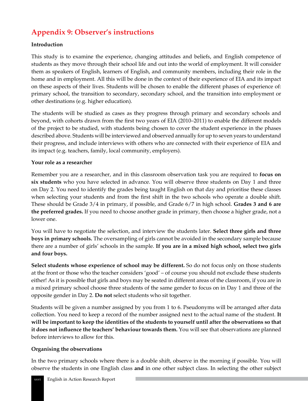# **Appendix 9: Observer's instructions**

# **Introduction**

This study is to examine the experience, changing attitudes and beliefs, and English competence of students as they move through their school life and out into the world of employment. It will consider them as speakers of English, learners of English, and community members, including their role in the home and in employment. All this will be done in the context of their experience of EIA and its impact on these aspects of their lives. Students will be chosen to enable the different phases of experience of: primary school, the transition to secondary, secondary school, and the transition into employment or other destinations (e.g. higher education).

The students will be studied as cases as they progress through primary and secondary schools and beyond, with cohorts drawn from the first two years of EIA (2010–2011) to enable the different models of the project to be studied, with students being chosen to cover the student experience in the phases described above. Students will be interviewed and observed annually for up to seven years to understand their progress, and include interviews with others who are connected with their experience of EIA and its impact (e.g. teachers, family, local community, employers).

### **Your role as a researcher**

Remember you are a researcher, and in this classroom observation task you are required to **focus on six students** who you have selected in advance. You will observe three students on Day 1 and three on Day 2. You need to identify the grades being taught English on that day and prioritise these classes when selecting your students and from the first shift in the two schools who operate a double shift. These should be Grade 3/4 in primary, if possible, and Grade 6/7 in high school. **Grades 3 and 6 are the preferred grades.** If you need to choose another grade in primary, then choose a higher grade, not a lower one.

You will have to negotiate the selection, and interview the students later. **Select three girls and three boys in primary schools.** The oversampling of girls cannot be avoided in the secondary sample because there are a number of girls' schools in the sample. **If you are in a mixed high school, select two girls and four boys.**

**Select students whose experience of school may be different.** So do not focus only on those students at the front or those who the teacher considers 'good' – of course you should not exclude these students either! As it is possible that girls and boys may be seated in different areas of the classroom, if you are in a mixed primary school choose three students of the same gender to focus on in Day 1 and three of the opposite gender in Day 2. **Do not** select students who sit together.

Students will be given a number assigned by you from 1 to 6. Pseudonyms will be arranged after data collection. You need to keep a record of the number assigned next to the actual name of the student. **It will be important to keep the identities of the students to yourself until after the observations so that it does not influence the teachers' behaviour towards them.** You will see that observations are planned before interviews to allow for this.

### **Organising the observations**

In the two primary schools where there is a double shift, observe in the morning if possible. You will observe the students in one English class **and** in one other subject class. In selecting the other subject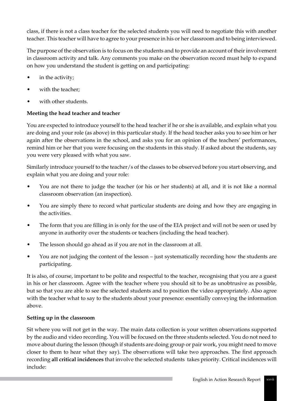class, if there is not a class teacher for the selected students you will need to negotiate this with another teacher. This teacher will have to agree to your presence in his or her classroom and to being interviewed.

The purpose of the observation is to focus on the students and to provide an account of their involvement in classroom activity and talk. Any comments you make on the observation record must help to expand on how you understand the student is getting on and participating:

- in the activity;
- with the teacher:
- with other students.

# **Meeting the head teacher and teacher**

You are expected to introduce yourself to the head teacher if he or she is available, and explain what you are doing and your role (as above) in this particular study. If the head teacher asks you to see him or her again after the observations in the school, and asks you for an opinion of the teachers' performances, remind him or her that you were focusing on the students in this study. If asked about the students, say you were very pleased with what you saw.

Similarly introduce yourself to the teacher/s of the classes to be observed before you start observing, and explain what you are doing and your role:

- You are not there to judge the teacher (or his or her students) at all, and it is not like a normal classroom observation (an inspection).
- You are simply there to record what particular students are doing and how they are engaging in the activities.
- The form that you are filling in is only for the use of the EIA project and will not be seen or used by anyone in authority over the students or teachers (including the head teacher).
- The lesson should go ahead as if you are not in the classroom at all.
- You are not judging the content of the lesson just systematically recording how the students are participating.

It is also, of course, important to be polite and respectful to the teacher, recognising that you are a guest in his or her classroom. Agree with the teacher where you should sit to be as unobtrusive as possible, but so that you are able to see the selected students and to position the video appropriately. Also agree with the teacher what to say to the students about your presence: essentially conveying the information above.

# **Setting up in the classroom**

Sit where you will not get in the way. The main data collection is your written observations supported by the audio and video recording. You will be focused on the three students selected. You do not need to move about during the lesson (though if students are doing group or pair work, you might need to move closer to them to hear what they say). The observations will take two approaches. The first approach recording **all critical incidences** that involve the selected students takes priority. Critical incidences will include: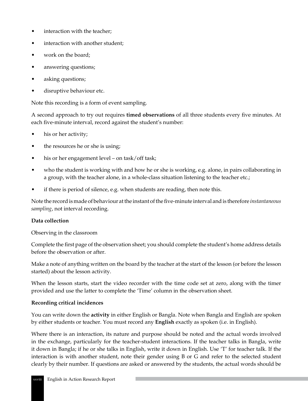- interaction with the teacher;
- interaction with another student;
- work on the board;
- answering questions;
- asking questions;
- disruptive behaviour etc.

Note this recording is a form of event sampling.

A second approach to try out requires **timed observations** of all three students every five minutes. At each five-minute interval, record against the student's number:

- his or her activity;
- the resources he or she is using;
- his or her engagement level on task/off task;
- who the student is working with and how he or she is working, e.g. alone, in pairs collaborating in a group, with the teacher alone, in a whole-class situation listening to the teacher etc.;
- if there is period of silence, e.g. when students are reading, then note this.

Note the record is made of behaviour at the instant of the five-minute interval and is therefore *instantaneous sampling*, not interval recording.

### **Data collection**

Observing in the classroom

Complete the first page of the observation sheet; you should complete the student's home address details before the observation or after.

Make a note of anything written on the board by the teacher at the start of the lesson (or before the lesson started) about the lesson activity.

When the lesson starts, start the video recorder with the time code set at zero, along with the timer provided and use the latter to complete the 'Time' column in the observation sheet.

### **Recording critical incidences**

You can write down the **activity** in either English or Bangla. Note when Bangla and English are spoken by either students or teacher. You must record any **English** exactly as spoken (i.e. in English).

Where there is an interaction, its nature and purpose should be noted and the actual words involved in the exchange, particularly for the teacher-student interactions. If the teacher talks in Bangla, write it down in Bangla; if he or she talks in English, write it down in English. Use 'T' for teacher talk. If the interaction is with another student, note their gender using B or G and refer to the selected student clearly by their number. If questions are asked or answered by the students, the actual words should be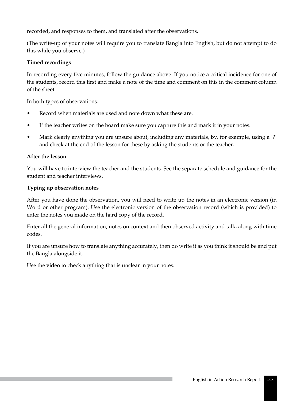recorded, and responses to them, and translated after the observations.

(The write-up of your notes will require you to translate Bangla into English, but do not attempt to do this while you observe.)

# **Timed recordings**

In recording every five minutes, follow the guidance above. If you notice a critical incidence for one of the students, record this first and make a note of the time and comment on this in the comment column of the sheet.

In both types of observations:

- Record when materials are used and note down what these are.
- If the teacher writes on the board make sure you capture this and mark it in your notes.
- Mark clearly anything you are unsure about, including any materials, by, for example, using a '?' and check at the end of the lesson for these by asking the students or the teacher.

### **After the lesson**

You will have to interview the teacher and the students. See the separate schedule and guidance for the student and teacher interviews.

### **Typing up observation notes**

After you have done the observation, you will need to write up the notes in an electronic version (in Word or other program). Use the electronic version of the observation record (which is provided) to enter the notes you made on the hard copy of the record.

Enter all the general information, notes on context and then observed activity and talk, along with time codes.

If you are unsure how to translate anything accurately, then do write it as you think it should be and put the Bangla alongside it.

Use the video to check anything that is unclear in your notes.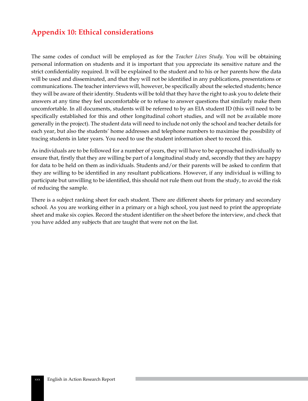# **Appendix 10: Ethical considerations**

The same codes of conduct will be employed as for the *Teacher Lives Study*. You will be obtaining personal information on students and it is important that you appreciate its sensitive nature and the strict confidentiality required. It will be explained to the student and to his or her parents how the data will be used and disseminated, and that they will not be identified in any publications, presentations or communications. The teacher interviews will, however, be specifically about the selected students; hence they will be aware of their identity. Students will be told that they have the right to ask you to delete their answers at any time they feel uncomfortable or to refuse to answer questions that similarly make them uncomfortable. In all documents, students will be referred to by an EIA student ID (this will need to be specifically established for this and other longitudinal cohort studies, and will not be available more generally in the project). The student data will need to include not only the school and teacher details for each year, but also the students' home addresses and telephone numbers to maximise the possibility of tracing students in later years. You need to use the student information sheet to record this.

As individuals are to be followed for a number of years, they will have to be approached individually to ensure that, firstly that they are willing be part of a longitudinal study and, secondly that they are happy for data to be held on them as individuals. Students and/or their parents will be asked to confirm that they are willing to be identified in any resultant publications. However, if any individual is willing to participate but unwilling to be identified, this should not rule them out from the study, to avoid the risk of reducing the sample.

There is a subject ranking sheet for each student. There are different sheets for primary and secondary school. As you are working either in a primary or a high school, you just need to print the appropriate sheet and make six copies. Record the student identifier on the sheet before the interview, and check that you have added any subjects that are taught that were not on the list.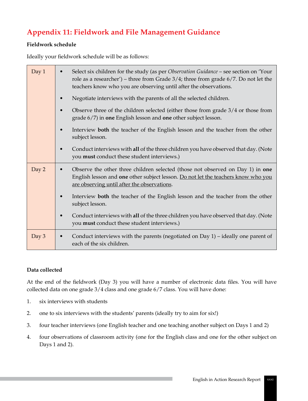# **Appendix 11: Fieldwork and File Management Guidance**

### **Fieldwork schedule**

Ideally your fieldwork schedule will be as follows:

| Day 1 | Select six children for the study (as per Observation Guidance - see section on 'Your<br>role as a researcher') – three from Grade $3/4$ ; three from grade $6/7$ . Do not let the<br>teachers know who you are observing until after the observations. |
|-------|---------------------------------------------------------------------------------------------------------------------------------------------------------------------------------------------------------------------------------------------------------|
|       | Negotiate interviews with the parents of all the selected children.<br>$\bullet$                                                                                                                                                                        |
|       | Observe three of the children selected (either those from grade 3/4 or those from<br>grade 6/7) in one English lesson and one other subject lesson.                                                                                                     |
|       | Interview both the teacher of the English lesson and the teacher from the other<br>subject lesson.                                                                                                                                                      |
|       | Conduct interviews with all of the three children you have observed that day. (Note<br>you must conduct these student interviews.)                                                                                                                      |
| Day 2 | Observe the other three children selected (those not observed on Day 1) in one<br>$\bullet$<br>English lesson and one other subject lesson. Do not let the teachers know who you<br>are observing until after the observations.                         |
|       | Interview both the teacher of the English lesson and the teacher from the other<br>subject lesson.                                                                                                                                                      |
|       | Conduct interviews with all of the three children you have observed that day. (Note<br>you <b>must</b> conduct these student interviews.)                                                                                                               |
| Day 3 | Conduct interviews with the parents (negotiated on Day $1$ ) – ideally one parent of<br>$\bullet$<br>each of the six children.                                                                                                                          |

# **Data collected**

At the end of the fieldwork (Day 3) you will have a number of electronic data files. You will have collected data on one grade 3/4 class and one grade 6/7 class. You will have done:

- 1. six interviews with students
- 2. one to six interviews with the students' parents (ideally try to aim for six!)
- 3. four teacher interviews (one English teacher and one teaching another subject on Days 1 and 2)
- 4. four observations of classroom activity (one for the English class and one for the other subject on Days 1 and 2).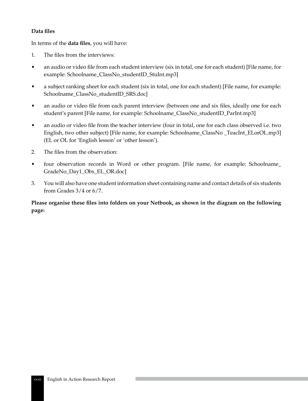### **Data files**

In terms of the **data files**, you will have:

- 1. The files from the interviews:
- an audio or video file from each student interview (six in total, one for each student) [File name, for example: Schoolname\_ClassNo\_studentID\_StuInt.mp3]
- a subject ranking sheet for each student (six in total, one for each student) [File name, for example: Schoolname\_ClassNo\_studentID\_SRS.doc]
- an audio or video file from each parent interview (between one and six files, ideally one for each student's parent [File name, for example: Schoolname\_ClassNo\_studentID\_ParInt.mp3]
- an audio or video file from the teacher interview (four in total, one for each class observed i.e. two English, two other subject) [File name, for example: Schoolname\_ClassNo \_TeacInt\_ELorOL.mp3] (EL or OL for 'English lesson' or 'other lesson').
- 2. The files from the observation:
- four observation records in Word or other program. [File name, for example: Schoolname GradeNo\_Day1\_Obs\_EL\_OR.doc]
- 3. You will also have one student information sheet containing name and contact details of six students from Grades 3/4 or 6/7.

**Please organise these files into folders on your Netbook, as shown in the diagram on the following page:**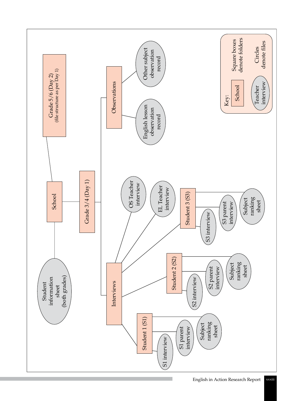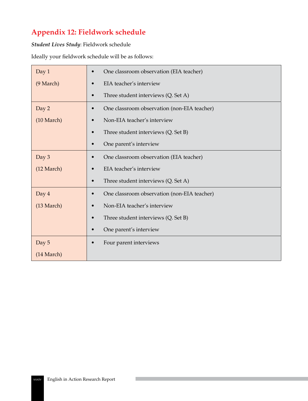# **Appendix 12: Fieldwork schedule**

### *Student Lives Study*: Fieldwork schedule

Ideally your fieldwork schedule will be as follows:

| Day 1                | One classroom observation (EIA teacher)<br>$\bullet$     |
|----------------------|----------------------------------------------------------|
| (9 March)            | EIA teacher's interview                                  |
|                      | Three student interviews (Q. Set A)<br>$\bullet$         |
| Day 2                | One classroom observation (non-EIA teacher)<br>$\bullet$ |
| $(10 \text{ March})$ | Non-EIA teacher's interview<br>$\bullet$                 |
|                      | Three student interviews (Q. Set B)<br>$\bullet$         |
|                      | One parent's interview<br>$\bullet$                      |
| Day 3                | One classroom observation (EIA teacher)<br>$\bullet$     |
| $(12 \text{ March})$ | EIA teacher's interview<br>$\bullet$                     |
|                      | Three student interviews (Q. Set A)<br>$\bullet$         |
| Day 4                | One classroom observation (non-EIA teacher)<br>$\bullet$ |
| $(13 \text{ March})$ | Non-EIA teacher's interview<br>$\bullet$                 |
|                      | Three student interviews (Q. Set B)<br>$\bullet$         |
|                      | One parent's interview<br>$\bullet$                      |
| Day 5                | Four parent interviews<br>$\bullet$                      |
| $(14 \text{ March})$ |                                                          |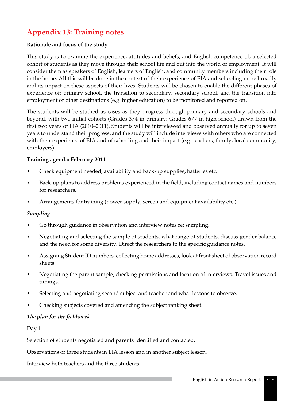# **Appendix 13: Training notes**

### **Rationale and focus of the study**

This study is to examine the experience, attitudes and beliefs, and English competence of, a selected cohort of students as they move through their school life and out into the world of employment. It will consider them as speakers of English, learners of English, and community members including their role in the home. All this will be done in the context of their experience of EIA and schooling more broadly and its impact on these aspects of their lives. Students will be chosen to enable the different phases of experience of: primary school, the transition to secondary, secondary school, and the transition into employment or other destinations (e.g. higher education) to be monitored and reported on.

The students will be studied as cases as they progress through primary and secondary schools and beyond, with two initial cohorts (Grades 3/4 in primary; Grades 6/7 in high school) drawn from the first two years of EIA (2010–2011). Students will be interviewed and observed annually for up to seven years to understand their progress, and the study will include interviews with others who are connected with their experience of EIA and of schooling and their impact (e.g. teachers, family, local community, employers).

#### **Training agenda: February 2011**

- Check equipment needed, availability and back-up supplies, batteries etc.
- Back-up plans to address problems experienced in the field, including contact names and numbers for researchers.
- Arrangements for training (power supply, screen and equipment availability etc.).

#### *Sampling*

- Go through guidance in observation and interview notes re: sampling.
- Negotiating and selecting the sample of students, what range of students, discuss gender balance and the need for some diversity. Direct the researchers to the specific guidance notes.
- Assigning Student ID numbers, collecting home addresses, look at front sheet of observation record sheets.
- Negotiating the parent sample, checking permissions and location of interviews. Travel issues and timings.
- Selecting and negotiating second subject and teacher and what lessons to observe.
- Checking subjects covered and amending the subject ranking sheet.

#### *The plan for the fieldwork*

Day 1

Selection of students negotiated and parents identified and contacted.

Observations of three students in EIA lesson and in another subject lesson.

Interview both teachers and the three students.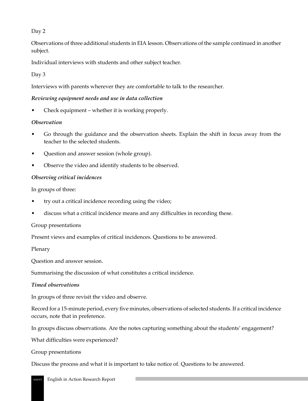# Day 2

Observations of three additional students in EIA lesson. Observations of the sample continued in another subject.

Individual interviews with students and other subject teacher.

# Day 3

Interviews with parents wherever they are comfortable to talk to the researcher.

### *Reviewing equipment needs and use in data collection*

• Check equipment – whether it is working properly.

### *Observation*

- Go through the guidance and the observation sheets. Explain the shift in focus away from the teacher to the selected students.
- Question and answer session (whole group).
- Observe the video and identify students to be observed.

### *Observing critical incidences*

In groups of three:

- try out a critical incidence recording using the video;
- discuss what a critical incidence means and any difficulties in recording these.

### Group presentations

Present views and examples of critical incidences. Questions to be answered.

Plenary

Question and answer session.

Summarising the discussion of what constitutes a critical incidence.

### *Timed observations*

In groups of three revisit the video and observe.

Record for a 15-minute period, every five minutes, observations of selected students. If a critical incidence occurs, note that in preference.

In groups discuss observations. Are the notes capturing something about the students' engagement?

What difficulties were experienced?

Group presentations

Discuss the process and what it is important to take notice of. Questions to be answered.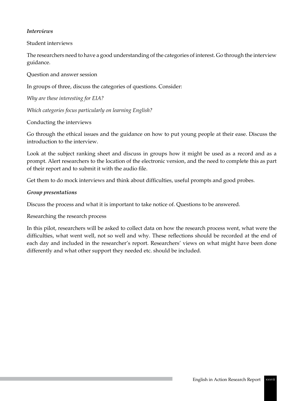## *Interviews*

Student interviews

The researchers need to have a good understanding of the categories of interest. Go through the interview guidance.

Question and answer session

In groups of three, discuss the categories of questions. Consider:

*Why are these interesting for EIA?* 

*Which categories focus particularly on learning English?* 

Conducting the interviews

Go through the ethical issues and the guidance on how to put young people at their ease. Discuss the introduction to the interview.

Look at the subject ranking sheet and discuss in groups how it might be used as a record and as a prompt. Alert researchers to the location of the electronic version, and the need to complete this as part of their report and to submit it with the audio file.

Get them to do mock interviews and think about difficulties, useful prompts and good probes.

## *Group presentations*

Discuss the process and what it is important to take notice of. Questions to be answered.

Researching the research process

In this pilot, researchers will be asked to collect data on how the research process went, what were the difficulties, what went well, not so well and why. These reflections should be recorded at the end of each day and included in the researcher's report. Researchers' views on what might have been done differently and what other support they needed etc. should be included.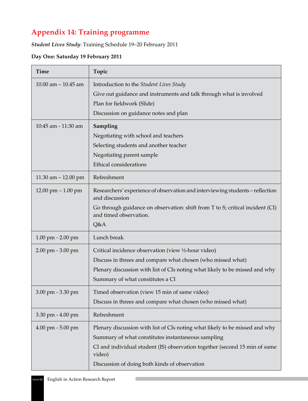# **Appendix 14: Training programme**

*Student Lives Study*: Training Schedule 19–20 February 2011

## **Day One: Saturday 19 February 2011**

| <b>Time</b>                          | Topic                                                                                                          |  |
|--------------------------------------|----------------------------------------------------------------------------------------------------------------|--|
| 10.00 am $-$ 10.45 am                | Introduction to the Student Lives Study<br>Give out guidance and instruments and talk through what is involved |  |
|                                      | Plan for fieldwork (Slide)                                                                                     |  |
|                                      | Discussion on guidance notes and plan                                                                          |  |
| 10:45 am - 11:30 am                  | Sampling                                                                                                       |  |
|                                      | Negotiating with school and teachers                                                                           |  |
|                                      | Selecting students and another teacher                                                                         |  |
|                                      | Negotiating parent sample                                                                                      |  |
|                                      | Ethical considerations                                                                                         |  |
| 11.30 am $-$ 12.00 pm                | Refreshment                                                                                                    |  |
| $12.00 \text{ pm} - 1.00 \text{ pm}$ | Researchers' experience of observation and interviewing students – reflection<br>and discussion                |  |
|                                      | Go through guidance on observation: shift from T to S; critical incident (CI)<br>and timed observation.        |  |
|                                      | Q&A                                                                                                            |  |
| $1.00$ pm $- 2.00$ pm                | Lunch break                                                                                                    |  |
| $2.00 \text{ pm} - 3.00 \text{ pm}$  | Critical incidence observation (view ½-hour video)                                                             |  |
|                                      | Discuss in threes and compare what chosen (who missed what)                                                    |  |
|                                      | Plenary discussion with list of CIs noting what likely to be missed and why                                    |  |
|                                      | Summary of what constitutes a CI                                                                               |  |
| 3.00 pm - 3.30 pm                    | Timed observation (view 15 min of same video)                                                                  |  |
|                                      | Discuss in threes and compare what chosen (who missed what)                                                    |  |
| 3.30 pm - 4.00 pm                    | Refreshment                                                                                                    |  |
| $4.00 \text{ pm} - 5.00 \text{ pm}$  | Plenary discussion with list of CIs noting what likely to be missed and why                                    |  |
|                                      | Summary of what constitutes instantaneous sampling                                                             |  |
|                                      | CI and individual student (IS) observation together (second 15 min of same<br>video)                           |  |
|                                      | Discussion of doing both kinds of observation                                                                  |  |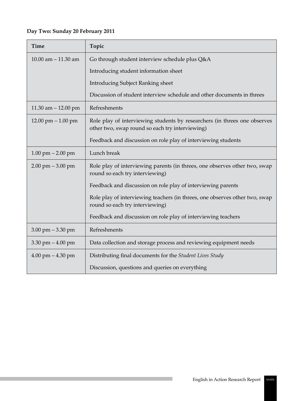# **Day Two: Sunday 20 February 2011**

| <b>Time</b>                          | Topic                                                                                                                        |  |
|--------------------------------------|------------------------------------------------------------------------------------------------------------------------------|--|
| 10.00 am $-$ 11.30 am                | Go through student interview schedule plus Q&A                                                                               |  |
|                                      | Introducing student information sheet                                                                                        |  |
|                                      | <b>Introducing Subject Ranking sheet</b>                                                                                     |  |
|                                      | Discussion of student interview schedule and other documents in threes                                                       |  |
| 11.30 am $-$ 12.00 pm                | Refreshments                                                                                                                 |  |
| $12.00 \text{ pm} - 1.00 \text{ pm}$ | Role play of interviewing students by researchers (in threes one observes<br>other two, swap round so each try interviewing) |  |
|                                      | Feedback and discussion on role play of interviewing students                                                                |  |
| $1.00$ pm $- 2.00$ pm                | Lunch break                                                                                                                  |  |
| $2.00 \text{ pm} - 3.00 \text{ pm}$  | Role play of interviewing parents (in threes, one observes other two, swap<br>round so each try interviewing)                |  |
|                                      | Feedback and discussion on role play of interviewing parents                                                                 |  |
|                                      | Role play of interviewing teachers (in threes, one observes other two, swap<br>round so each try interviewing)               |  |
|                                      | Feedback and discussion on role play of interviewing teachers                                                                |  |
| $3.00 \text{ pm} - 3.30 \text{ pm}$  | Refreshments                                                                                                                 |  |
| 3.30 pm $-4.00$ pm                   | Data collection and storage process and reviewing equipment needs                                                            |  |
| $4.00$ pm $- 4.30$ pm                | Distributing final documents for the Student Lives Study                                                                     |  |
|                                      | Discussion, questions and queries on everything                                                                              |  |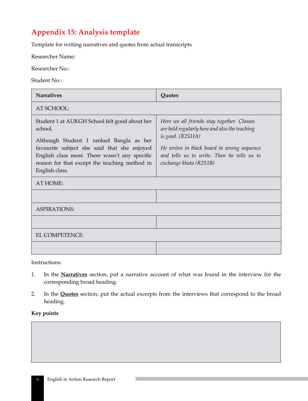# **Appendix 15: Analysis template**

Template for writing narratives and quotes from actual transcripts

Researcher Name:

Researcher No.:

Student No.:

| <b>Narratives</b>                                                                                                                                                                                                                                                      | Quotes                                                                                                                                                                                                                                 |  |  |
|------------------------------------------------------------------------------------------------------------------------------------------------------------------------------------------------------------------------------------------------------------------------|----------------------------------------------------------------------------------------------------------------------------------------------------------------------------------------------------------------------------------------|--|--|
| AT SCHOOL:                                                                                                                                                                                                                                                             |                                                                                                                                                                                                                                        |  |  |
| Student 1 at AUKGH School felt good about her<br>school.<br>Although Student 1 ranked Bangla as her<br>favourite subject she said that she enjoyed<br>English class most. There wasn't any specific<br>reason for that except the teaching method in<br>English class. | Here we all friends stay together. Classes<br>are held regularly here and also the teaching<br>is good. (R2S1IA)<br>He writes in black board in wrong sequence<br>and tells us to write. Then he tells us to<br>exchange khata (R2S1B) |  |  |
| AT HOME:                                                                                                                                                                                                                                                               |                                                                                                                                                                                                                                        |  |  |
|                                                                                                                                                                                                                                                                        |                                                                                                                                                                                                                                        |  |  |
| <b>ASPIRATIONS:</b>                                                                                                                                                                                                                                                    |                                                                                                                                                                                                                                        |  |  |
|                                                                                                                                                                                                                                                                        |                                                                                                                                                                                                                                        |  |  |
| EL COMPETENCE:                                                                                                                                                                                                                                                         |                                                                                                                                                                                                                                        |  |  |
|                                                                                                                                                                                                                                                                        |                                                                                                                                                                                                                                        |  |  |

Instructions:

- 1. In the **Narratives** section, put a narrative account of what was found in the interview for the corresponding broad heading.
- 2. In the **Quotes** section, put the actual excerpts from the interviews that correspond to the broad heading.

### **Key points**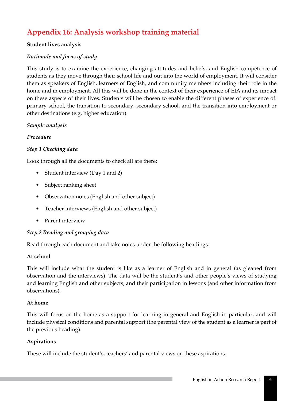# **Appendix 16: Analysis workshop training material**

### **Student lives analysis**

## *Rationale and focus of study*

This study is to examine the experience, changing attitudes and beliefs, and English competence of students as they move through their school life and out into the world of employment. It will consider them as speakers of English, learners of English, and community members including their role in the home and in employment. All this will be done in the context of their experience of EIA and its impact on these aspects of their lives. Students will be chosen to enable the different phases of experience of: primary school, the transition to secondary, secondary school, and the transition into employment or other destinations (e.g. higher education).

### *Sample analysis*

## *Procedure*

## *Step 1 Checking data*

Look through all the documents to check all are there:

- Student interview (Day 1 and 2)
- Subject ranking sheet
- Observation notes (English and other subject)
- Teacher interviews (English and other subject)
- Parent interview

### *Step 2 Reading and grouping data*

Read through each document and take notes under the following headings:

### **At school**

This will include what the student is like as a learner of English and in general (as gleaned from observation and the interviews). The data will be the student's and other people's views of studying and learning English and other subjects, and their participation in lessons (and other information from observations).

### **At home**

This will focus on the home as a support for learning in general and English in particular, and will include physical conditions and parental support (the parental view of the student as a learner is part of the previous heading).

### **Aspirations**

These will include the student's, teachers' and parental views on these aspirations.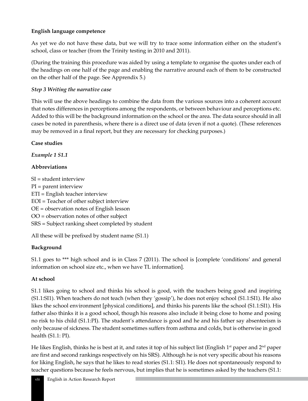## **English language competence**

As yet we do not have these data, but we will try to trace some information either on the student's school, class or teacher (from the Trinity testing in 2010 and 2011).

(During the training this procedure was aided by using a template to organise the quotes under each of the headings on one half of the page and enabling the narrative around each of them to be constructed on the other half of the page. See Apprendix 5.)

## *Step 3 Writing the narrative case*

This will use the above headings to combine the data from the various sources into a coherent account that notes differences in perceptions among the respondents, or between behaviour and perceptions etc. Added to this will be the background information on the school or the area. The data source should in all cases be noted in parenthesis, where there is a direct use of data (even if not a quote). (These references may be removed in a final report, but they are necessary for checking purposes.)

## **Case studies**

*Example 1 S1.1*

# **Abbreviations**

SI = student interview PI = parent interview ETI = English teacher interview EOI = Teacher of other subject interview OE = observation notes of English lesson OO = observation notes of other subject SRS = Subject ranking sheet completed by student

All these will be prefixed by student name (S1.1)

# **Background**

S1.1 goes to \*\*\* high school and is in Class 7 (2011). The school is [complete 'conditions' and general information on school size etc., when we have TL information].

# **At school**

S1.1 likes going to school and thinks his school is good, with the teachers being good and inspiring (S1.1:SI1). When teachers do not teach (when they 'gossip'), he does not enjoy school (S1.1:SI1). He also likes the school environment [physical conditions], and thinks his parents like the school (S1.1:SI1). His father also thinks it is a good school, though his reasons also include it being close to home and posing no risk to his child (S1.1:PI). The student's attendance is good and he and his father say absenteeism is only because of sickness. The student sometimes suffers from asthma and colds, but is otherwise in good health (S1.1: PI).

He likes English, thinks he is best at it, and rates it top of his subject list (English 1<sup>st</sup> paper and 2<sup>nd</sup> paper are first and second rankings respectively on his SRS). Although he is not very specific about his reasons for liking English, he says that he likes to read stories (S1.1: SI1). He does not spontaneously respond to teacher questions because he feels nervous, but implies that he is sometimes asked by the teachers (S1.1: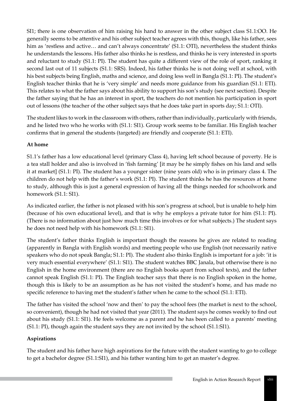SI1; there is one observation of him raising his hand to answer in the other subject class S1.1:OO. He generally seems to be attentive and his other subject teacher agrees with this, though, like his father, sees him as 'restless and active... and can't always concentrate' (S1.1: OTI), nevertheless the student thinks he understands the lessons. His father also thinks he is restless, and thinks he is very interested in sports and reluctant to study (S1.1: PI). The student has quite a different view of the role of sport, ranking it second last out of 11 subjects (S1.1: SRS). Indeed, his father thinks he is not doing well at school, with his best subjects being English, maths and science, and doing less well in Bangla (S1.1: PI). The student's English teacher thinks that he is 'very simple' and needs more guidance from his guardian (S1.1: ETI). This relates to what the father says about his ability to support his son's study (see next section). Despite the father saying that he has an interest in sport, the teachers do not mention his participation in sport out of lessons (the teacher of the other subject says that he does take part in sports day; S1.1: OTI).

The student likes to work in the classroom with others, rather than individually, particularly with friends, and he listed two who he works with (S1.1: SI1). Group work seems to be familiar. His English teacher confirms that in general the students (targeted) are friendly and cooperate (S1.1: ETI).

## **At home**

S1.1's father has a low educational level (primary Class 4), having left school because of poverty. He is a tea stall holder and also is involved in 'fish farming' [it may be he simply fishes on his land and sells it at market] (S1.1: PI). The student has a younger sister (nine years old) who is in primary class 4. The children do not help with the father's work (S1.1: PI). The student thinks he has the resources at home to study, although this is just a general expression of having all the things needed for schoolwork and homework (S1.1: SI1).

As indicated earlier, the father is not pleased with his son's progress at school, but is unable to help him (because of his own educational level), and that is why he employs a private tutor for him (S1.1: PI). (There is no information about just how much time this involves or for what subjects.) The student says he does not need help with his homework (S1.1: SI1).

The student's father thinks English is important though the reasons he gives are related to reading (apparently in Bangla with English words) and meeting people who use English (not necessarily native speakers who do not speak Bangla; S1.1: PI). The student also thinks English is important for a job: 'it is very much essential everywhere' (S1.1: SI1). The student watches BBC Janala, but otherwise there is no English in the home environment (there are no English books apart from school texts), and the father cannot speak English (S1.1: PI). The English teacher says that there is no English spoken in the home, though this is likely to be an assumption as he has not visited the student's home, and has made no specific reference to having met the student's father when he came to the school (S1.1: ETI).

The father has visited the school 'now and then' to pay the school fees (the market is next to the school, so convenient), though he had not visited that year (2011). The student says he comes weekly to find out about his study (S1.1: SI1). He feels welcome as a parent and he has been called to a parents' meeting (S1.1: PI), though again the student says they are not invited by the school (S1.1:SI1).

## **Aspirations**

The student and his father have high aspirations for the future with the student wanting to go to college to get a bachelor degree (S1.1:SI1), and his father wanting him to get an master's degree.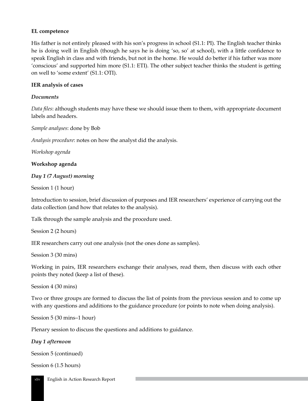### **EL competence**

His father is not entirely pleased with his son's progress in school (S1.1: PI). The English teacher thinks he is doing well in English (though he says he is doing 'so, so' at school), with a little confidence to speak English in class and with friends, but not in the home. He would do better if his father was more 'conscious' and supported him more (S1.1: ETI). The other subject teacher thinks the student is getting on well to 'some extent' (S1.1: OTI).

## **IER analysis of cases**

## *Documents*

*Data files*: although students may have these we should issue them to them, with appropriate document labels and headers.

*Sample analyses*: done by Bob

*Analysis procedure*: notes on how the analyst did the analysis.

*Workshop agenda*

### **Workshop agenda**

## *Day 1 (7 August) morning*

Session 1 (1 hour)

Introduction to session, brief discussion of purposes and IER researchers' experience of carrying out the data collection (and how that relates to the analysis).

Talk through the sample analysis and the procedure used.

```
Session 2 (2 hours)
```
IER researchers carry out one analysis (not the ones done as samples).

Session 3 (30 mins)

Working in pairs, IER researchers exchange their analyses, read them, then discuss with each other points they noted (keep a list of these).

Session 4 (30 mins)

Two or three groups are formed to discuss the list of points from the previous session and to come up with any questions and additions to the guidance procedure (or points to note when doing analysis).

Session 5 (30 mins–1 hour)

Plenary session to discuss the questions and additions to guidance.

*Day 1 afternoon*

```
Session 5 (continued)
```
Session 6 (1.5 hours)

xliv English in Action Research Report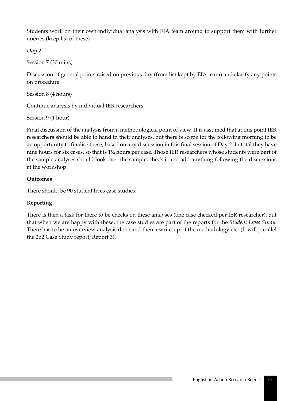Students work on their own individual analysis with EIA team around to support them with further queries (keep list of these).

# *Day 2*

Session 7 (30 mins)

Discussion of general points raised on previous day (from list kept by EIA team) and clarify any points on procedure.

Session 8 (4 hours)

Continue analysis by individual IER researchers.

Session 9 (1 hour)

Final discussion of the analysis from a methodological point of view. It is assumed that at this point IER researchers should be able to hand in their analyses, but there is scope for the following morning to be an opportunity to finalise these, based on any discussion in this final session of Day 2. In total they have nine hours for six cases, so that is 1½ hours per case. Those IER researchers whose students were part of the sample analyses should look over the sample, check it and add anything following the discussions at the workshop.

## **Outcomes**

There should be 90 student lives case studies.

# **Reporting**

There is then a task for there to be checks on these analyses (one case checked per IER researcher), but that when we are happy with these, the case studies are part of the reports for the *Student Lives Study*. There has to be an overview analysis done and then a write-up of the methodology etc. (It will parallel the 2b2 Case Study report; Report 3).